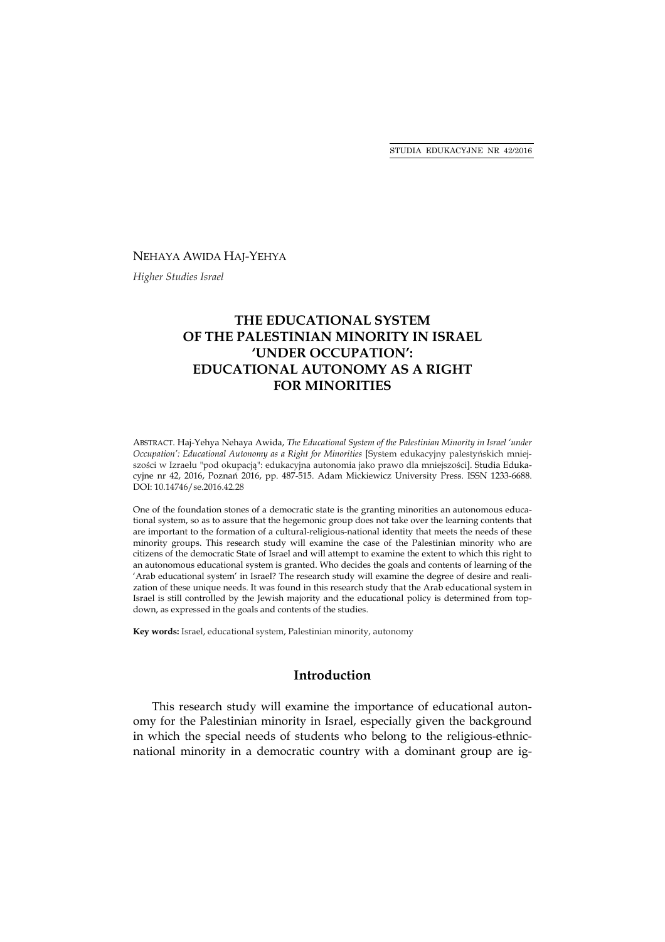#### NEHAYA AWIDA HAJ-YEHYA

*Higher Studies Israel*

# **THE EDUCATIONAL SYSTEM OF THE PALESTINIAN MINORITY IN ISRAEL 'UNDER OCCUPATION': EDUCATIONAL AUTONOMY AS A RIGHT FOR MINORITIES**

ABSTRACT. Haj-Yehya Nehaya Awida, *The Educational System of the Palestinian Minority in Israel 'under Occupation': Educational Autonomy as a Right for Minorities* [System edukacyjny palestyńskich mniejszości w Izraelu "pod okupacją": edukacyjna autonomia jako prawo dla mniejszości]. Studia Edukacyjne nr 42, 2016, Poznań 2016, pp. 487-515. Adam Mickiewicz University Press. ISSN 1233-6688. DOI: 10.14746/se.2016.42.28

One of the foundation stones of a democratic state is the granting minorities an autonomous educational system, so as to assure that the hegemonic group does not take over the learning contents that are important to the formation of a cultural-religious-national identity that meets the needs of these minority groups. This research study will examine the case of the Palestinian minority who are citizens of the democratic State of Israel and will attempt to examine the extent to which this right to an autonomous educational system is granted. Who decides the goals and contents of learning of the 'Arab educational system' in Israel? The research study will examine the degree of desire and realization of these unique needs. It was found in this research study that the Arab educational system in Israel is still controlled by the Jewish majority and the educational policy is determined from topdown, as expressed in the goals and contents of the studies.

**Key words:** Israel, educational system, Palestinian minority, autonomy

### **Introduction**

This research study will examine the importance of educational autonomy for the Palestinian minority in Israel, especially given the background in which the special needs of students who belong to the religious-ethnicnational minority in a democratic country with a dominant group are ig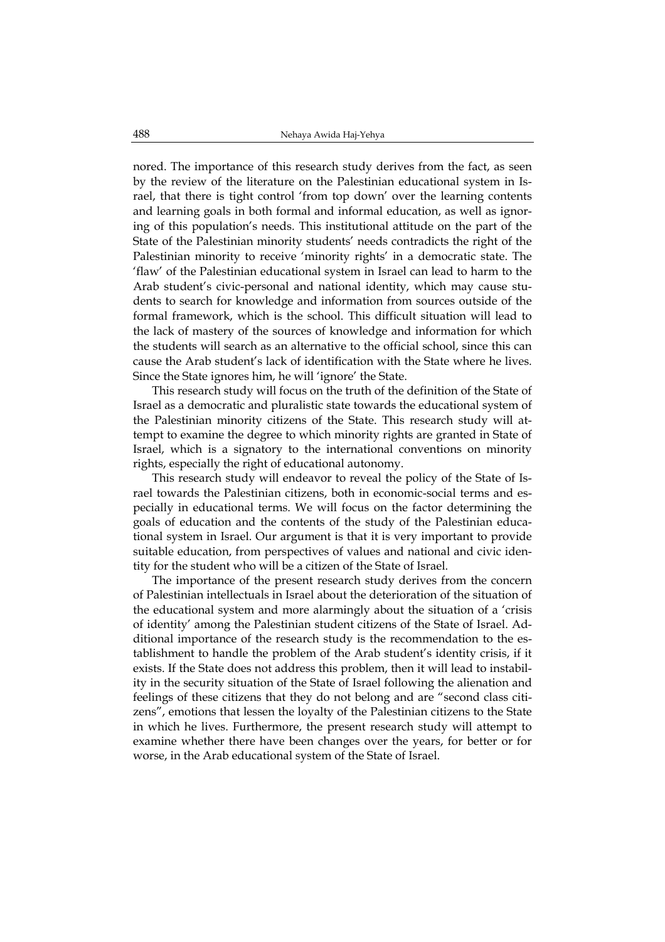nored. The importance of this research study derives from the fact, as seen by the review of the literature on the Palestinian educational system in Israel, that there is tight control 'from top down' over the learning contents and learning goals in both formal and informal education, as well as ignoring of this population's needs. This institutional attitude on the part of the State of the Palestinian minority students' needs contradicts the right of the Palestinian minority to receive 'minority rights' in a democratic state. The 'flaw' of the Palestinian educational system in Israel can lead to harm to the Arab student's civic-personal and national identity, which may cause students to search for knowledge and information from sources outside of the formal framework, which is the school. This difficult situation will lead to the lack of mastery of the sources of knowledge and information for which the students will search as an alternative to the official school, since this can cause the Arab student's lack of identification with the State where he lives. Since the State ignores him, he will 'ignore' the State.

This research study will focus on the truth of the definition of the State of Israel as a democratic and pluralistic state towards the educational system of the Palestinian minority citizens of the State. This research study will attempt to examine the degree to which minority rights are granted in State of Israel, which is a signatory to the international conventions on minority rights, especially the right of educational autonomy.

This research study will endeavor to reveal the policy of the State of Israel towards the Palestinian citizens, both in economic-social terms and especially in educational terms. We will focus on the factor determining the goals of education and the contents of the study of the Palestinian educational system in Israel. Our argument is that it is very important to provide suitable education, from perspectives of values and national and civic identity for the student who will be a citizen of the State of Israel.

The importance of the present research study derives from the concern of Palestinian intellectuals in Israel about the deterioration of the situation of the educational system and more alarmingly about the situation of a 'crisis of identity' among the Palestinian student citizens of the State of Israel. Additional importance of the research study is the recommendation to the establishment to handle the problem of the Arab student's identity crisis, if it exists. If the State does not address this problem, then it will lead to instability in the security situation of the State of Israel following the alienation and feelings of these citizens that they do not belong and are "second class citizens", emotions that lessen the loyalty of the Palestinian citizens to the State in which he lives. Furthermore, the present research study will attempt to examine whether there have been changes over the years, for better or for worse, in the Arab educational system of the State of Israel.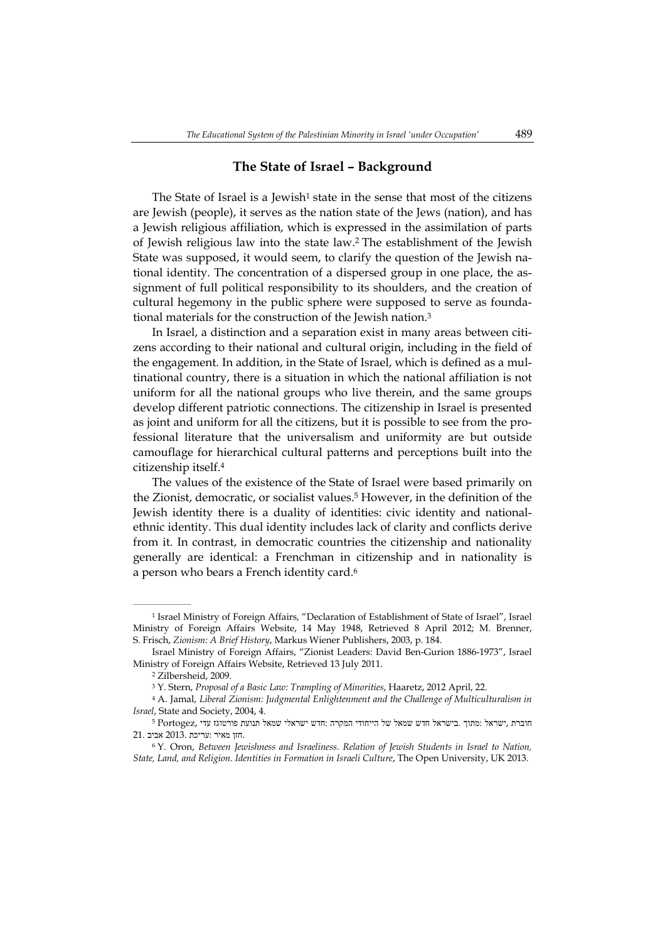#### **The State of Israel – Background**

The State of Israel is a Jewish<sup>1</sup> state in the sense that most of the citizens are Jewish (people), it serves as the nation state of the Jews (nation), and has a Jewish religious affiliation, which is expressed in the assimilation of parts of Jewish religious law into the state law.<sup>2</sup> The establishment of the Jewish State was supposed, it would seem, to clarify the question of the Jewish national identity. The concentration of a dispersed group in one place, the assignment of full political responsibility to its shoulders, and the creation of cultural hegemony in the public sphere were supposed to serve as foundational materials for the construction of the Jewish nation.<sup>3</sup>

In Israel, a distinction and a separation exist in many areas between citizens according to their national and cultural origin, including in the field of the engagement. In addition, in the State of Israel, which is defined as a multinational country, there is a situation in which the national affiliation is not uniform for all the national groups who live therein, and the same groups develop different patriotic connections. The citizenship in Israel is presented as joint and uniform for all the citizens, but it is possible to see from the professional literature that the universalism and uniformity are but outside camouflage for hierarchical cultural patterns and perceptions built into the citizenship itself.<sup>4</sup>

The values of the existence of the State of Israel were based primarily on the Zionist, democratic, or socialist values.<sup>5</sup> However, in the definition of the Jewish identity there is a duality of identities: civic identity and nationalethnic identity. This dual identity includes lack of clarity and conflicts derive from it. In contrast, in democratic countries the citizenship and nationality generally are identical: a Frenchman in citizenship and in nationality is a person who bears a French identity card.<sup>6</sup>

<sup>1</sup> Israel Ministry of Foreign Affairs, "Declaration of Establishment of State of Israel", Israel Ministry of Foreign Affairs Website, 14 May 1948, Retrieved 8 April 2012; M. Brenner, S. Frisch, *Zionism: A Brief History*, Markus Wiener Publishers, 2003, p. 184.

Israel Ministry of Foreign Affairs, "Zionist Leaders: David Ben-Gurion 1886-1973", Israel Ministry of Foreign Affairs Website, Retrieved 13 July 2011.

<sup>2</sup> Zilbersheid, 2009.

<sup>3</sup> Y. Stern, *Proposal of a Basic Law: Trampling of Minorities*, Haaretz, 2012 April, 22.

<sup>4</sup> A. Jamal, *Liberal Zionism: Judgmental Enlightenment and the Challenge of Multiculturalism in Israel*, State and Society, 2004, 4.

חוברת ,ישראל :מתוך .בישראל חדש שמאל של הייחודי המקרה :חדש ישראלי שמאל תנועת פורטוגז עדי ,Portogez <sup>5</sup> .חזן מאיר :עריכת 2013. אביב 21.

<sup>6</sup> Y. Oron, *Between Jewishness and Israeliness. Relation of Jewish Students in Israel to Nation, State, Land, and Religion. Identities in Formation in Israeli Culture*, The Open University, UK 2013.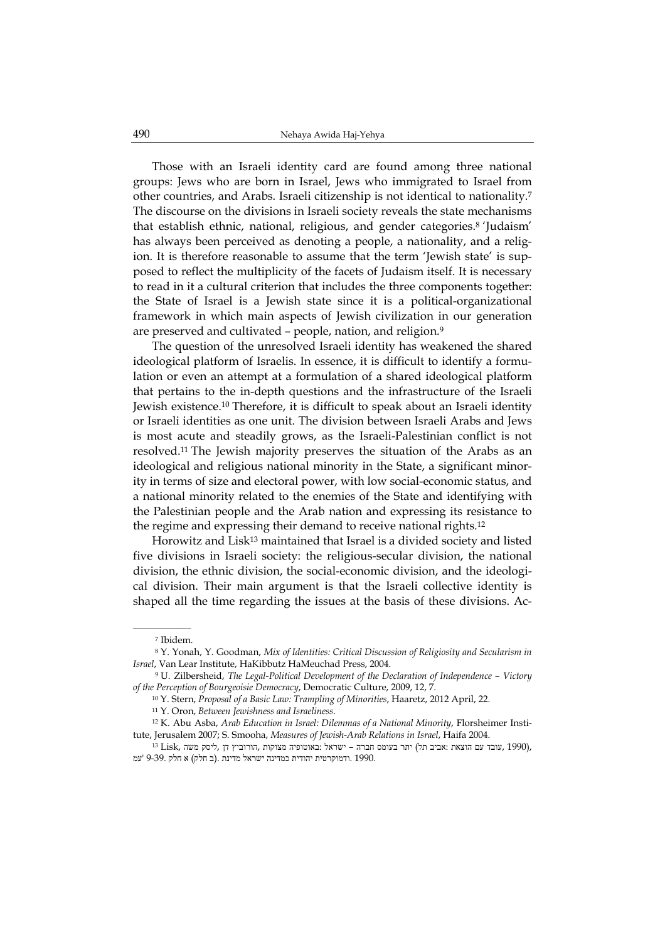Those with an Israeli identity card are found among three national groups: Jews who are born in Israel, Jews who immigrated to Israel from other countries, and Arabs. Israeli citizenship is not identical to nationality.<sup>7</sup> The discourse on the divisions in Israeli society reveals the state mechanisms that establish ethnic, national, religious, and gender categories.<sup>8</sup> 'Judaism' has always been perceived as denoting a people, a nationality, and a religion. It is therefore reasonable to assume that the term 'Jewish state' is supposed to reflect the multiplicity of the facets of Judaism itself. It is necessary to read in it a cultural criterion that includes the three components together: the State of Israel is a Jewish state since it is a political-organizational framework in which main aspects of Jewish civilization in our generation are preserved and cultivated - people, nation, and religion.<sup>9</sup>

The question of the unresolved Israeli identity has weakened the shared ideological platform of Israelis. In essence, it is difficult to identify a formulation or even an attempt at a formulation of a shared ideological platform that pertains to the in-depth questions and the infrastructure of the Israeli Jewish existence.<sup>10</sup> Therefore, it is difficult to speak about an Israeli identity or Israeli identities as one unit. The division between Israeli Arabs and Jews is most acute and steadily grows, as the Israeli-Palestinian conflict is not resolved.<sup>11</sup> The Jewish majority preserves the situation of the Arabs as an ideological and religious national minority in the State, a significant minority in terms of size and electoral power, with low social-economic status, and a national minority related to the enemies of the State and identifying with the Palestinian people and the Arab nation and expressing its resistance to the regime and expressing their demand to receive national rights.<sup>12</sup>

Horowitz and Lisk<sup>13</sup> maintained that Israel is a divided society and listed five divisions in Israeli society: the religious-secular division, the national division, the ethnic division, the social-economic division, and the ideological division. Their main argument is that the Israeli collective identity is shaped all the time regarding the issues at the basis of these divisions. Ac-

<sup>7</sup> Ibidem.

<sup>8</sup> Y. Yonah, Y. Goodman, *Mix of Identities: Critical Discussion of Religiosity and Secularism in Israel*, Van Lear Institute, HaKibbutz HaMeuchad Press, 2004.

<sup>9</sup> U. Zilbersheid, *The Legal-Political Development of the Declaration of Independence – Victory of the Perception of Bourgeoisie Democracy*, Democratic Culture, 2009, 12, 7.

<sup>10</sup> Y. Stern, *Proposal of a Basic Law: Trampling of Minorities*, Haaretz, 2012 April, 22.

<sup>11</sup> Y. Oron, *Between Jewishness and Israeliness*.

<sup>12</sup> K. Abu Asba, *Arab Education in Israel: Dilemmas of a National Minority*, Florsheimer Institute, Jerusalem 2007; S. Smooha, *Measures of Jewish-Arab Relations in Israel*, Haifa 2004.

<sup>13</sup> Lisk, עובד עם הוצאת :אביב תל) יתר בעומס חברה – ישראל :באוטופיה מצוקות ,הורוביץ דן ,ליסק משה 1990. .ודמוקרטית יהודית כמדינה ישראל מדינת .(ב חלק) א חלק 9-39. 'עמ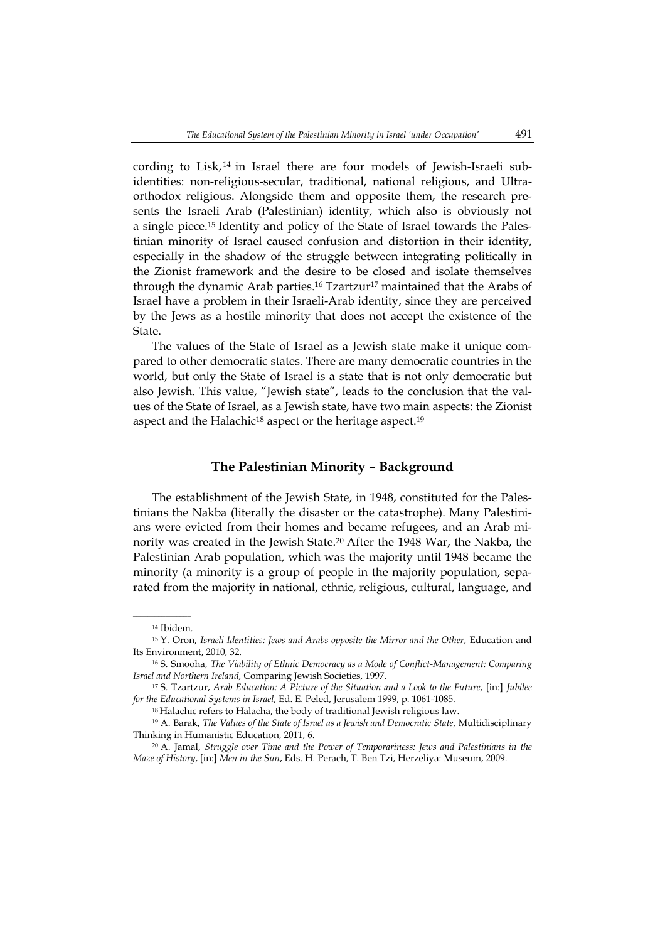cording to Lisk,  $14$  in Israel there are four models of Jewish-Israeli subidentities: non-religious-secular, traditional, national religious, and Ultraorthodox religious. Alongside them and opposite them, the research presents the Israeli Arab (Palestinian) identity, which also is obviously not a single piece.15 Identity and policy of the State of Israel towards the Palestinian minority of Israel caused confusion and distortion in their identity, especially in the shadow of the struggle between integrating politically in the Zionist framework and the desire to be closed and isolate themselves through the dynamic Arab parties.<sup>16</sup> Tzartzur<sup>17</sup> maintained that the Arabs of Israel have a problem in their Israeli-Arab identity, since they are perceived by the Jews as a hostile minority that does not accept the existence of the State.

The values of the State of Israel as a Jewish state make it unique compared to other democratic states. There are many democratic countries in the world, but only the State of Israel is a state that is not only democratic but also Jewish. This value, "Jewish state", leads to the conclusion that the values of the State of Israel, as a Jewish state, have two main aspects: the Zionist aspect and the Halachic<sup>18</sup> aspect or the heritage aspect.<sup>19</sup>

#### **The Palestinian Minority – Background**

The establishment of the Jewish State, in 1948, constituted for the Palestinians the Nakba (literally the disaster or the catastrophe). Many Palestinians were evicted from their homes and became refugees, and an Arab minority was created in the Jewish State.<sup>20</sup> After the 1948 War, the Nakba, the Palestinian Arab population, which was the majority until 1948 became the minority (a minority is a group of people in the majority population, separated from the majority in national, ethnic, religious, cultural, language, and

 $\mathcal{L}=\mathcal{L}^{\mathcal{L}}$ 

<sup>14</sup> Ibidem.

<sup>15</sup> Y. Oron, *Israeli Identities: Jews and Arabs opposite the Mirror and the Other*, Education and Its Environment, 2010, 32.

<sup>16</sup> S. Smooha, *The Viability of Ethnic Democracy as a Mode of Conflict-Management: Comparing Israel and Northern Ireland*, Comparing Jewish Societies, 1997.

<sup>17</sup> S. Tzartzur, *Arab Education: A Picture of the Situation and a Look to the Future*, [in:] *Jubilee for the Educational Systems in Israel*, Ed. E. Peled, Jerusalem 1999, p. 1061-1085.

<sup>18</sup>Halachic refers to Halacha, the body of traditional Jewish religious law.

<sup>19</sup> A. Barak, *The Values of the State of Israel as a Jewish and Democratic State*, Multidisciplinary Thinking in Humanistic Education, 2011, 6.

<sup>20</sup> A. Jamal, *Struggle over Time and the Power of Temporariness: Jews and Palestinians in the Maze of History*, [in:] *Men in the Sun*, Eds. H. Perach, T. Ben Tzi, Herzeliya: Museum, 2009.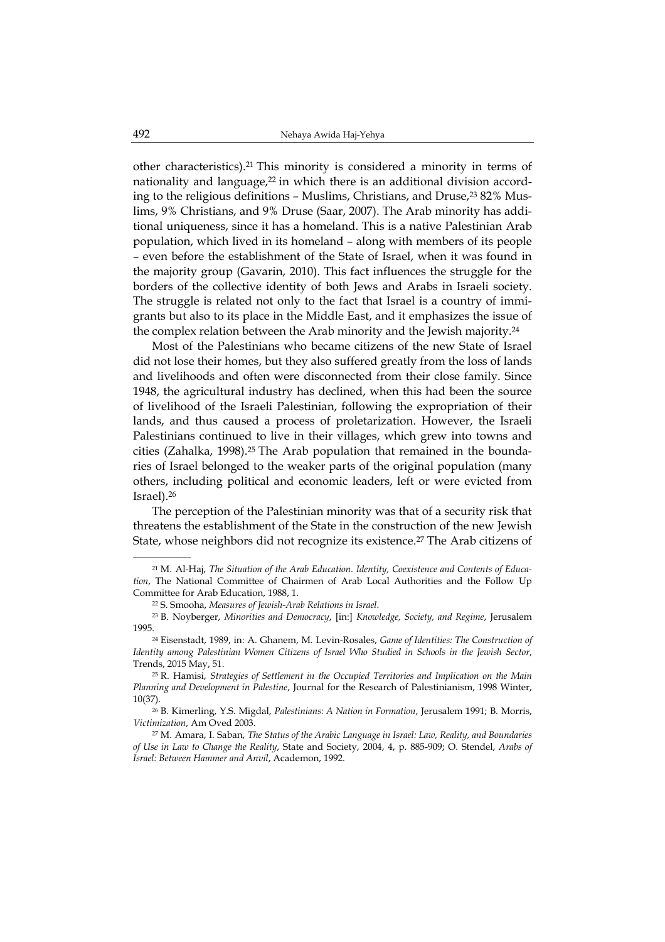other characteristics).<sup>21</sup> This minority is considered a minority in terms of nationality and language,<sup>22</sup> in which there is an additional division according to the religious definitions  $-$  Muslims, Christians, and Druse, $2382\%$  Muslims, 9% Christians, and 9% Druse (Saar, 2007). The Arab minority has additional uniqueness, since it has a homeland. This is a native Palestinian Arab population, which lived in its homeland – along with members of its people – even before the establishment of the State of Israel, when it was found in the majority group (Gavarin, 2010). This fact influences the struggle for the borders of the collective identity of both Jews and Arabs in Israeli society. The struggle is related not only to the fact that Israel is a country of immigrants but also to its place in the Middle East, and it emphasizes the issue of the complex relation between the Arab minority and the Jewish majority.<sup>24</sup>

Most of the Palestinians who became citizens of the new State of Israel did not lose their homes, but they also suffered greatly from the loss of lands and livelihoods and often were disconnected from their close family. Since 1948, the agricultural industry has declined, when this had been the source of livelihood of the Israeli Palestinian, following the expropriation of their lands, and thus caused a process of proletarization. However, the Israeli Palestinians continued to live in their villages, which grew into towns and cities (Zahalka, 1998).25 The Arab population that remained in the boundaries of Israel belonged to the weaker parts of the original population (many others, including political and economic leaders, left or were evicted from Israel).<sup>26</sup>

The perception of the Palestinian minority was that of a security risk that threatens the establishment of the State in the construction of the new Jewish State, whose neighbors did not recognize its existence.<sup>27</sup> The Arab citizens of

<sup>21</sup> M. Al-Haj, *The Situation of the Arab Education. Identity, Coexistence and Contents of Education*, The National Committee of Chairmen of Arab Local Authorities and the Follow Up Committee for Arab Education, 1988, 1.

<sup>22</sup> S. Smooha, *Measures of Jewish-Arab Relations in Israel*.

<sup>23</sup> B. Noyberger, *Minorities and Democracy*, [in:] *Knowledge, Society, and Regime*, Jerusalem 1995.

<sup>24</sup> Eisenstadt, 1989, in: A. Ghanem, M. Levin-Rosales, *Game of Identities: The Construction of Identity among Palestinian Women Citizens of Israel Who Studied in Schools in the Jewish Sector*, Trends, 2015 May, 51.

<sup>25</sup> R. Hamisi, *Strategies of Settlement in the Occupied Territories and Implication on the Main Planning and Development in Palestine*, Journal for the Research of Palestinianism, 1998 Winter, 10(37).

<sup>26</sup> B. Kimerling, Y.S. Migdal, *Palestinians: A Nation in Formation*, Jerusalem 1991; B. Morris, *Victimization*, Am Oved 2003.

<sup>27</sup> M. Amara, I. Saban, *The Status of the Arabic Language in Israel: Law, Reality, and Boundaries of Use in Law to Change the Reality*, State and Society, 2004, 4, p. 885-909; O. Stendel, *Arabs of Israel: Between Hammer and Anvil*, Academon, 1992.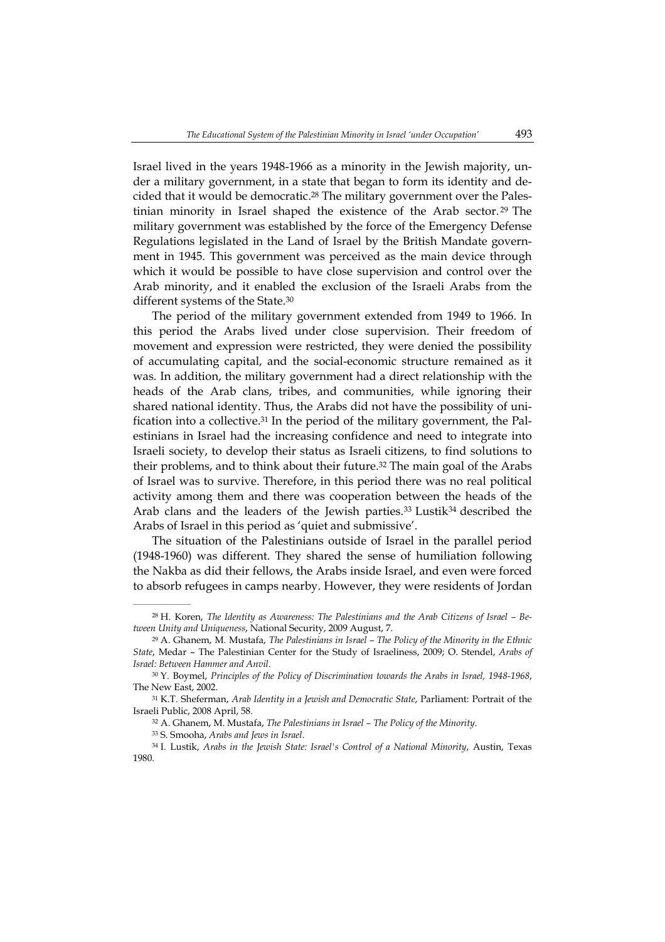Israel lived in the years 1948-1966 as a minority in the Jewish majority, under a military government, in a state that began to form its identity and decided that it would be democratic.28 The military government over the Palestinian minority in Israel shaped the existence of the Arab sector. <sup>29</sup> The military government was established by the force of the Emergency Defense Regulations legislated in the Land of Israel by the British Mandate government in 1945. This government was perceived as the main device through which it would be possible to have close supervision and control over the Arab minority, and it enabled the exclusion of the Israeli Arabs from the different systems of the State.<sup>30</sup>

The period of the military government extended from 1949 to 1966. In this period the Arabs lived under close supervision. Their freedom of movement and expression were restricted, they were denied the possibility of accumulating capital, and the social-economic structure remained as it was. In addition, the military government had a direct relationship with the heads of the Arab clans, tribes, and communities, while ignoring their shared national identity. Thus, the Arabs did not have the possibility of unification into a collective.31 In the period of the military government, the Palestinians in Israel had the increasing confidence and need to integrate into Israeli society, to develop their status as Israeli citizens, to find solutions to their problems, and to think about their future.<sup>32</sup> The main goal of the Arabs of Israel was to survive. Therefore, in this period there was no real political activity among them and there was cooperation between the heads of the Arab clans and the leaders of the Jewish parties.<sup>33</sup> Lustik<sup>34</sup> described the Arabs of Israel in this period as 'quiet and submissive'.

The situation of the Palestinians outside of Israel in the parallel period (1948-1960) was different. They shared the sense of humiliation following the Nakba as did their fellows, the Arabs inside Israel, and even were forced to absorb refugees in camps nearby. However, they were residents of Jordan

<sup>28</sup> H. Koren, *The Identity as Awareness: The Palestinians and the Arab Citizens of Israel – Between Unity and Uniqueness*, National Security, 2009 August, 7.

<sup>29</sup> A. Ghanem, M. Mustafa, *The Palestinians in Israel – The Policy of the Minority in the Ethnic State*, Medar – The Palestinian Center for the Study of Israeliness, 2009; O. Stendel, *Arabs of Israel: Between Hammer and Anvil*.

<sup>30</sup> Y. Boymel, *Principles of the Policy of Discrimination towards the Arabs in Israel, 1948-1968*, The New East, 2002.

<sup>31</sup> K.T. Sheferman, *Arab Identity in a Jewish and Democratic State*, Parliament: Portrait of the Israeli Public, 2008 April, 58.

<sup>32</sup> A. Ghanem, M. Mustafa, *The Palestinians in Israel – The Policy of the Minority*.

<sup>33</sup> S. Smooha, *Arabs and Jews in Israel*.

<sup>34</sup> I. Lustik, *Arabs in the Jewish State: Israel's Control of a National Minority*, Austin, Texas 1980.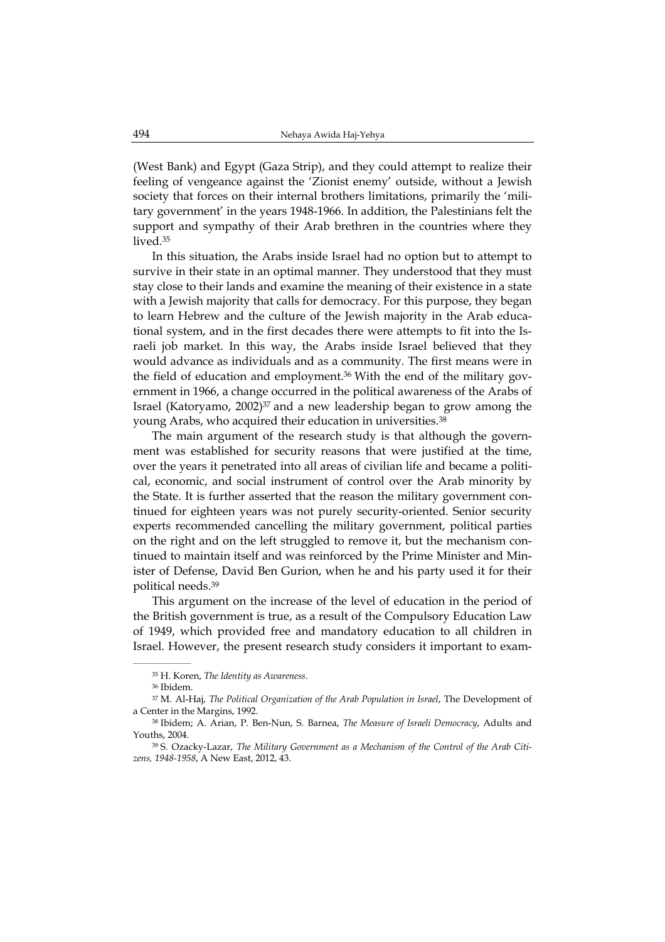(West Bank) and Egypt (Gaza Strip), and they could attempt to realize their feeling of vengeance against the 'Zionist enemy' outside, without a Jewish society that forces on their internal brothers limitations, primarily the 'military government' in the years 1948-1966. In addition, the Palestinians felt the support and sympathy of their Arab brethren in the countries where they lived.<sup>35</sup>

In this situation, the Arabs inside Israel had no option but to attempt to survive in their state in an optimal manner. They understood that they must stay close to their lands and examine the meaning of their existence in a state with a Jewish majority that calls for democracy. For this purpose, they began to learn Hebrew and the culture of the Jewish majority in the Arab educational system, and in the first decades there were attempts to fit into the Israeli job market. In this way, the Arabs inside Israel believed that they would advance as individuals and as a community. The first means were in the field of education and employment.<sup>36</sup> With the end of the military government in 1966, a change occurred in the political awareness of the Arabs of Israel (Katoryamo,  $2002$ )<sup>37</sup> and a new leadership began to grow among the young Arabs, who acquired their education in universities.<sup>38</sup>

The main argument of the research study is that although the government was established for security reasons that were justified at the time, over the years it penetrated into all areas of civilian life and became a political, economic, and social instrument of control over the Arab minority by the State. It is further asserted that the reason the military government continued for eighteen years was not purely security-oriented. Senior security experts recommended cancelling the military government, political parties on the right and on the left struggled to remove it, but the mechanism continued to maintain itself and was reinforced by the Prime Minister and Minister of Defense, David Ben Gurion, when he and his party used it for their political needs.<sup>39</sup>

This argument on the increase of the level of education in the period of the British government is true, as a result of the Compulsory Education Law of 1949, which provided free and mandatory education to all children in Israel. However, the present research study considers it important to exam-

<sup>35</sup> H. Koren, *The Identity as Awareness*.

<sup>36</sup> Ibidem.

<sup>37</sup> M. Al-Haj, *The Political Organization of the Arab Population in Israel*, The Development of a Center in the Margins, 1992.

<sup>38</sup> Ibidem; A. Arian, P. Ben-Nun, S. Barnea, *The Measure of Israeli Democracy*, Adults and Youths, 2004.

<sup>39</sup> S. Ozacky-Lazar, *The Military Government as a Mechanism of the Control of the Arab Citizens, 1948-1958*, A New East, 2012, 43.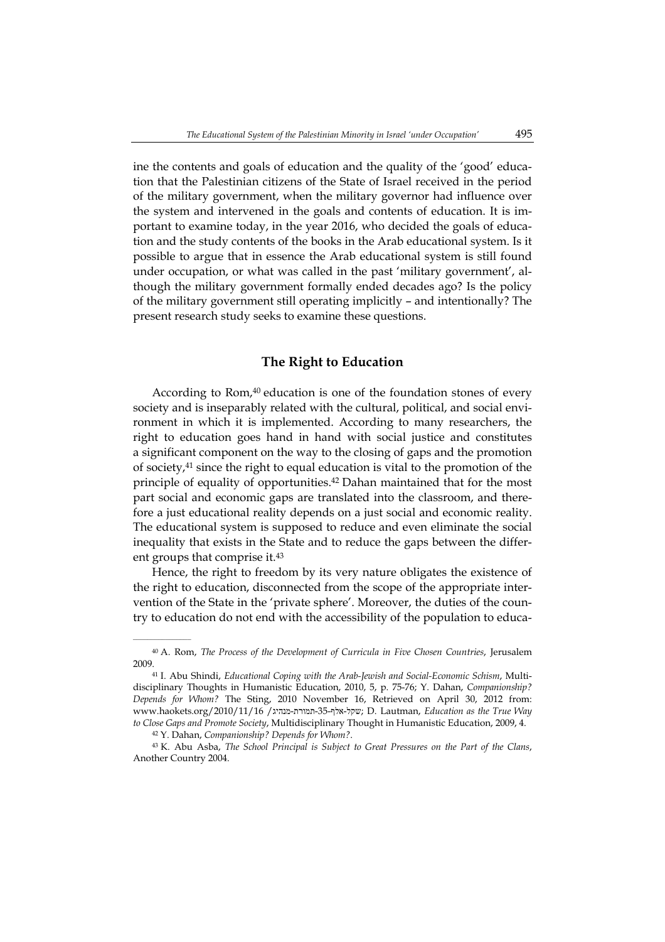ine the contents and goals of education and the quality of the 'good' education that the Palestinian citizens of the State of Israel received in the period of the military government, when the military governor had influence over the system and intervened in the goals and contents of education. It is important to examine today, in the year 2016, who decided the goals of education and the study contents of the books in the Arab educational system. Is it possible to argue that in essence the Arab educational system is still found under occupation, or what was called in the past 'military government', although the military government formally ended decades ago? Is the policy of the military government still operating implicitly – and intentionally? The present research study seeks to examine these questions.

#### **The Right to Education**

According to Rom,<sup>40</sup> education is one of the foundation stones of every society and is inseparably related with the cultural, political, and social environment in which it is implemented. According to many researchers, the right to education goes hand in hand with social justice and constitutes a significant component on the way to the closing of gaps and the promotion of society,<sup>41</sup> since the right to equal education is vital to the promotion of the principle of equality of opportunities.<sup>42</sup> Dahan maintained that for the most part social and economic gaps are translated into the classroom, and therefore a just educational reality depends on a just social and economic reality. The educational system is supposed to reduce and even eliminate the social inequality that exists in the State and to reduce the gaps between the different groups that comprise it.<sup>43</sup>

Hence, the right to freedom by its very nature obligates the existence of the right to education, disconnected from the scope of the appropriate intervention of the State in the 'private sphere'. Moreover, the duties of the country to education do not end with the accessibility of the population to educa-

<sup>40</sup> A. Rom, *The Process of the Development of Curricula in Five Chosen Countries*, Jerusalem 2009.

<sup>41</sup> I. Abu Shindi, *Educational Coping with the Arab-Jewish and Social-Economic Schism*, Multidisciplinary Thoughts in Humanistic Education, 2010, 5, p. 75-76; Y. Dahan, *Companionship? Depends for Whom?* The Sting, 2010 November 16, Retrieved on April 30, 2012 from: www.haokets.org/2010/11/16 /מנהיג-תמורת-35-אלף-שקל ;D. Lautman, *Education as the True Way to Close Gaps and Promote Society*, Multidisciplinary Thought in Humanistic Education, 2009, 4.

<sup>42</sup> Y. Dahan, *Companionship? Depends for Whom?*.

<sup>43</sup> K. Abu Asba, *The School Principal is Subject to Great Pressures on the Part of the Clans*, Another Country 2004.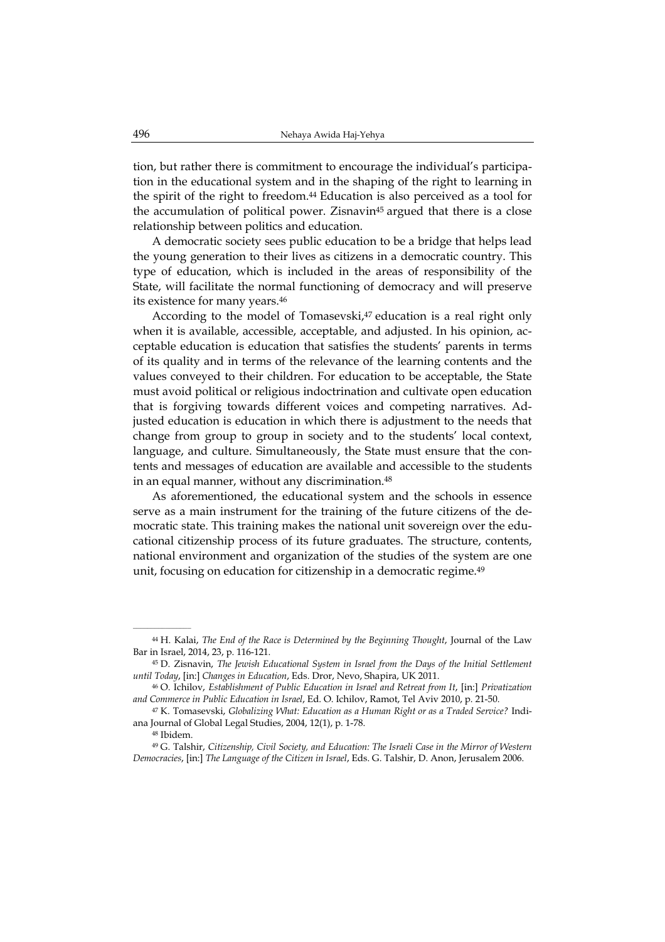tion, but rather there is commitment to encourage the individual's participation in the educational system and in the shaping of the right to learning in the spirit of the right to freedom.<sup>44</sup> Education is also perceived as a tool for the accumulation of political power. Zisnavin<sup>45</sup> argued that there is a close relationship between politics and education.

A democratic society sees public education to be a bridge that helps lead the young generation to their lives as citizens in a democratic country. This type of education, which is included in the areas of responsibility of the State, will facilitate the normal functioning of democracy and will preserve its existence for many years.<sup>46</sup>

According to the model of Tomasevski, $47$  education is a real right only when it is available, accessible, acceptable, and adjusted. In his opinion, acceptable education is education that satisfies the students' parents in terms of its quality and in terms of the relevance of the learning contents and the values conveyed to their children. For education to be acceptable, the State must avoid political or religious indoctrination and cultivate open education that is forgiving towards different voices and competing narratives. Adjusted education is education in which there is adjustment to the needs that change from group to group in society and to the students' local context, language, and culture. Simultaneously, the State must ensure that the contents and messages of education are available and accessible to the students in an equal manner, without any discrimination.<sup>48</sup>

As aforementioned, the educational system and the schools in essence serve as a main instrument for the training of the future citizens of the democratic state. This training makes the national unit sovereign over the educational citizenship process of its future graduates. The structure, contents, national environment and organization of the studies of the system are one unit, focusing on education for citizenship in a democratic regime.<sup>49</sup>

<sup>44</sup> H. Kalai, *The End of the Race is Determined by the Beginning Thought*, Journal of the Law Bar in Israel, 2014, 23, p. 116-121.

<sup>45</sup> D. Zisnavin, *The Jewish Educational System in Israel from the Days of the Initial Settlement until Today*, [in:] *Changes in Education*, Eds. Dror, Nevo, Shapira, UK 2011.

<sup>46</sup> O. Ichilov, *Establishment of Public Education in Israel and Retreat from It*, [in:] *Privatization and Commerce in Public Education in Israel*, Ed. O. Ichilov, Ramot, Tel Aviv 2010, p. 21-50.

<sup>47</sup> K. Tomasevski, *Globalizing What: Education as a Human Right or as a Traded Service?* Indiana Journal of Global Legal Studies, 2004, 12(1), p. 1-78.

<sup>48</sup> Ibidem.

<sup>49</sup> G. Talshir, *Citizenship, Civil Society, and Education: The Israeli Case in the Mirror of Western Democracies*, [in:] *The Language of the Citizen in Israel*, Eds. G. Talshir, D. Anon, Jerusalem 2006.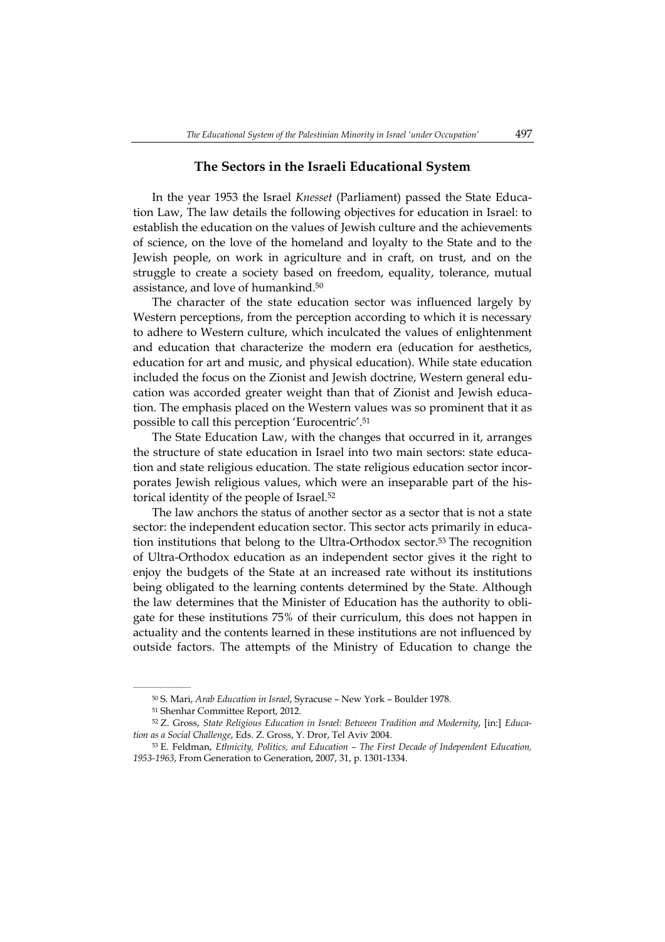### **The Sectors in the Israeli Educational System**

In the year 1953 the Israel *Knesset* (Parliament) passed the State Education Law, The law details the following objectives for education in Israel: to establish the education on the values of Jewish culture and the achievements of science, on the love of the homeland and loyalty to the State and to the Jewish people, on work in agriculture and in craft, on trust, and on the struggle to create a society based on freedom, equality, tolerance, mutual assistance, and love of humankind.<sup>50</sup>

The character of the state education sector was influenced largely by Western perceptions, from the perception according to which it is necessary to adhere to Western culture, which inculcated the values of enlightenment and education that characterize the modern era (education for aesthetics, education for art and music, and physical education). While state education included the focus on the Zionist and Jewish doctrine, Western general education was accorded greater weight than that of Zionist and Jewish education. The emphasis placed on the Western values was so prominent that it as possible to call this perception 'Eurocentric'.<sup>51</sup>

The State Education Law, with the changes that occurred in it, arranges the structure of state education in Israel into two main sectors: state education and state religious education. The state religious education sector incorporates Jewish religious values, which were an inseparable part of the historical identity of the people of Israel.<sup>52</sup>

The law anchors the status of another sector as a sector that is not a state sector: the independent education sector. This sector acts primarily in education institutions that belong to the Ultra-Orthodox sector.<sup>53</sup> The recognition of Ultra-Orthodox education as an independent sector gives it the right to enjoy the budgets of the State at an increased rate without its institutions being obligated to the learning contents determined by the State. Although the law determines that the Minister of Education has the authority to obligate for these institutions 75% of their curriculum, this does not happen in actuality and the contents learned in these institutions are not influenced by outside factors. The attempts of the Ministry of Education to change the

 $\mathcal{L}=\mathcal{L}^{\mathcal{L}}$ 

<sup>50</sup> S. Mari, *Arab Education in Israel*, Syracuse – New York – Boulder 1978.

<sup>51</sup> Shenhar Committee Report, 2012.

<sup>52</sup> Z. Gross, *State Religious Education in Israel: Between Tradition and Modernity*, [in:] *Education as a Social Challenge*, Eds. Z. Gross, Y. Dror, Tel Aviv 2004.

<sup>53</sup> E. Feldman, *Ethnicity, Politics, and Education – The First Decade of Independent Education, 1953-1963*, From Generation to Generation, 2007, 31, p. 1301-1334.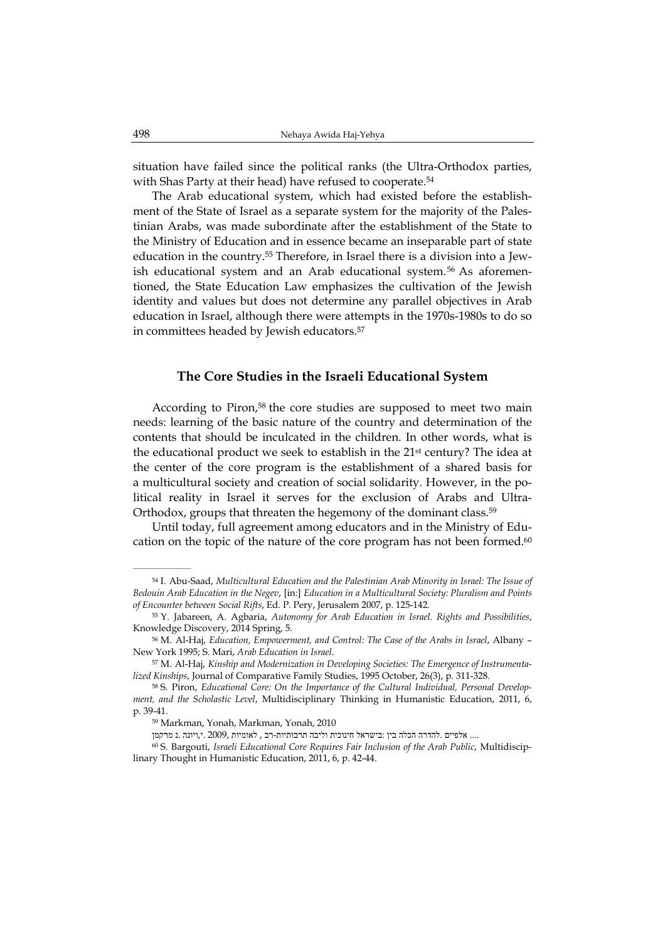situation have failed since the political ranks (the Ultra-Orthodox parties, with Shas Party at their head) have refused to cooperate.<sup>54</sup>

The Arab educational system, which had existed before the establishment of the State of Israel as a separate system for the majority of the Palestinian Arabs, was made subordinate after the establishment of the State to the Ministry of Education and in essence became an inseparable part of state education in the country.55 Therefore, in Israel there is a division into a Jewish educational system and an Arab educational system.56 As aforementioned, the State Education Law emphasizes the cultivation of the Jewish identity and values but does not determine any parallel objectives in Arab education in Israel, although there were attempts in the 1970s-1980s to do so in committees headed by Jewish educators.<sup>57</sup>

#### **The Core Studies in the Israeli Educational System**

According to Piron,<sup>58</sup> the core studies are supposed to meet two main needs: learning of the basic nature of the country and determination of the contents that should be inculcated in the children. In other words, what is the educational product we seek to establish in the  $21<sup>st</sup>$  century? The idea at the center of the core program is the establishment of a shared basis for a multicultural society and creation of social solidarity. However, in the political reality in Israel it serves for the exclusion of Arabs and Ultra-Orthodox, groups that threaten the hegemony of the dominant class.<sup>59</sup>

Until today, full agreement among educators and in the Ministry of Education on the topic of the nature of the core program has not been formed.<sup>60</sup>

.... אלפיים .להדרה הכלה בין :בישראל חינוכית וליבה תרבותיות -רב , לאומיות 2009, .י,ויונה .נ מרקמן

<sup>54</sup> I. Abu-Saad, *Multicultural Education and the Palestinian Arab Minority in Israel: The Issue of Bedouin Arab Education in the Negev*, [in:] *Education in a Multicultural Society: Pluralism and Points of Encounter between Social Rifts*, Ed. P. Pery, Jerusalem 2007, p. 125-142.

<sup>55</sup> Y. Jabareen, A. Agbaria, *Autonomy for Arab Education in Israel. Rights and Possibilities*, Knowledge Discovery, 2014 Spring, 5.

<sup>56</sup> M. Al-Haj, *Education, Empowerment, and Control: The Case of the Arabs in Israel*, Albany – New York 1995; S. Mari, *Arab Education in Israel*.

<sup>57</sup> M. Al-Haj, *Kinship and Modernization in Developing Societies: The Emergence of Instrumentalized Kinships*, Journal of Comparative Family Studies, 1995 October, 26(3), p. 311-328.

<sup>58</sup> S. Piron, *Educational Core: On the Importance of the Cultural Individual, Personal Development, and the Scholastic Level*, Multidisciplinary Thinking in Humanistic Education, 2011, 6, p. 39-41.

<sup>59</sup> Markman, Yonah, Markman, Yonah, 2010

<sup>60</sup> S. Bargouti, *Israeli Educational Core Requires Fair Inclusion of the Arab Public*, Multidisciplinary Thought in Humanistic Education, 2011, 6, p. 42-44.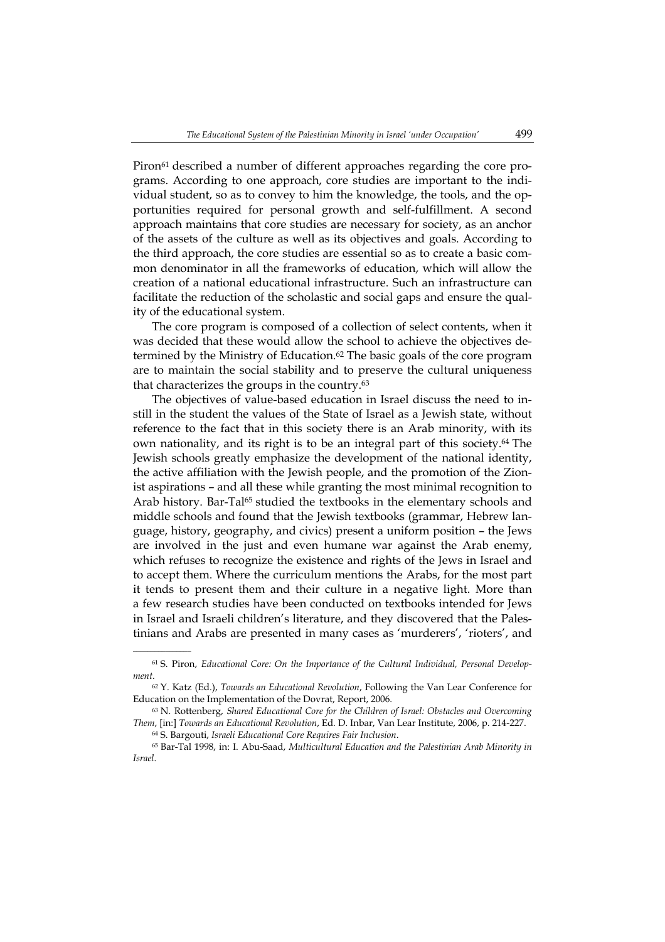Piron<sup>61</sup> described a number of different approaches regarding the core programs. According to one approach, core studies are important to the individual student, so as to convey to him the knowledge, the tools, and the opportunities required for personal growth and self-fulfillment. A second approach maintains that core studies are necessary for society, as an anchor of the assets of the culture as well as its objectives and goals. According to the third approach, the core studies are essential so as to create a basic common denominator in all the frameworks of education, which will allow the creation of a national educational infrastructure. Such an infrastructure can facilitate the reduction of the scholastic and social gaps and ensure the quality of the educational system.

The core program is composed of a collection of select contents, when it was decided that these would allow the school to achieve the objectives determined by the Ministry of Education.<sup>62</sup> The basic goals of the core program are to maintain the social stability and to preserve the cultural uniqueness that characterizes the groups in the country.<sup>63</sup>

The objectives of value-based education in Israel discuss the need to instill in the student the values of the State of Israel as a Jewish state, without reference to the fact that in this society there is an Arab minority, with its own nationality, and its right is to be an integral part of this society.<sup>64</sup> The Jewish schools greatly emphasize the development of the national identity, the active affiliation with the Jewish people, and the promotion of the Zionist aspirations – and all these while granting the most minimal recognition to Arab history. Bar-Tal<sup>65</sup> studied the textbooks in the elementary schools and middle schools and found that the Jewish textbooks (grammar, Hebrew language, history, geography, and civics) present a uniform position – the Jews are involved in the just and even humane war against the Arab enemy, which refuses to recognize the existence and rights of the Jews in Israel and to accept them. Where the curriculum mentions the Arabs, for the most part it tends to present them and their culture in a negative light. More than a few research studies have been conducted on textbooks intended for Jews in Israel and Israeli children's literature, and they discovered that the Palestinians and Arabs are presented in many cases as 'murderers', 'rioters', and

<sup>61</sup> S. Piron, *Educational Core: On the Importance of the Cultural Individual, Personal Development*.

<sup>62</sup> Y. Katz (Ed.), *Towards an Educational Revolution*, Following the Van Lear Conference for Education on the Implementation of the Dovrat, Report, 2006.

<sup>63</sup> N. Rottenberg, *Shared Educational Core for the Children of Israel: Obstacles and Overcoming Them*, [in:] *Towards an Educational Revolution*, Ed. D. Inbar, Van Lear Institute, 2006, p. 214-227.

<sup>64</sup> S. Bargouti, *Israeli Educational Core Requires Fair Inclusion*.

<sup>65</sup> Bar-Tal 1998, in: I. Abu-Saad, *Multicultural Education and the Palestinian Arab Minority in Israel*.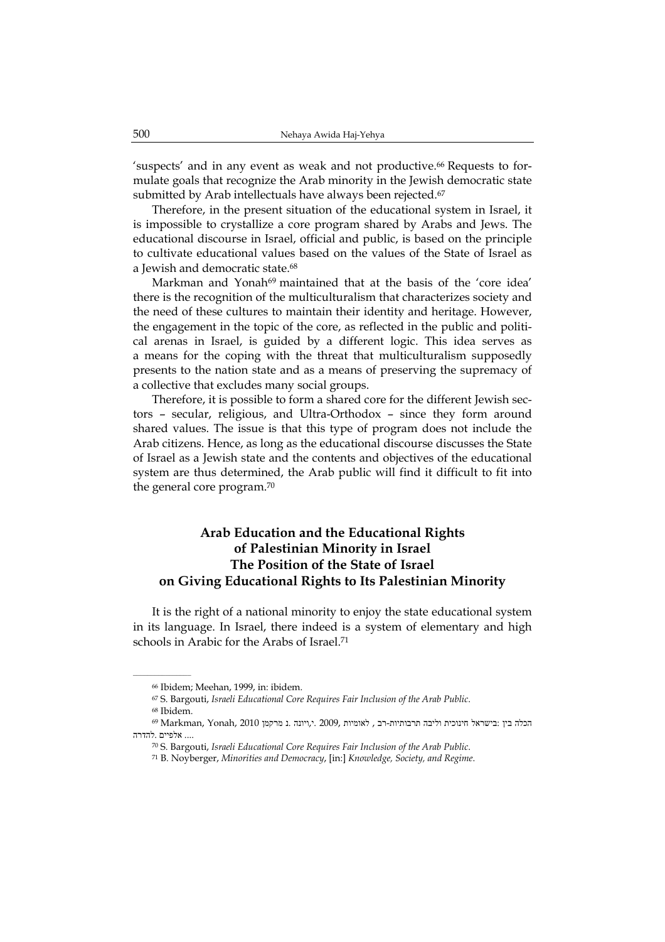'suspects' and in any event as weak and not productive.66 Requests to formulate goals that recognize the Arab minority in the Jewish democratic state submitted by Arab intellectuals have always been rejected.<sup>67</sup>

Therefore, in the present situation of the educational system in Israel, it is impossible to crystallize a core program shared by Arabs and Jews. The educational discourse in Israel, official and public, is based on the principle to cultivate educational values based on the values of the State of Israel as a Jewish and democratic state.<sup>68</sup>

Markman and Yonah<sup>69</sup> maintained that at the basis of the 'core idea' there is the recognition of the multiculturalism that characterizes society and the need of these cultures to maintain their identity and heritage. However, the engagement in the topic of the core, as reflected in the public and political arenas in Israel, is guided by a different logic. This idea serves as a means for the coping with the threat that multiculturalism supposedly presents to the nation state and as a means of preserving the supremacy of a collective that excludes many social groups.

Therefore, it is possible to form a shared core for the different Jewish sectors – secular, religious, and Ultra-Orthodox – since they form around shared values. The issue is that this type of program does not include the Arab citizens. Hence, as long as the educational discourse discusses the State of Israel as a Jewish state and the contents and objectives of the educational system are thus determined, the Arab public will find it difficult to fit into the general core program.<sup>70</sup>

# **Arab Education and the Educational Rights of Palestinian Minority in Israel The Position of the State of Israel on Giving Educational Rights to Its Palestinian Minority**

It is the right of a national minority to enjoy the state educational system in its language. In Israel, there indeed is a system of elementary and high schools in Arabic for the Arabs of Israel.<sup>71</sup>

 $\mathcal{L}=\mathcal{L}^{\mathcal{L}}$ 

<sup>66</sup> Ibidem; Meehan, 1999, in: ibidem.

<sup>67</sup> S. Bargouti, *Israeli Educational Core Requires Fair Inclusion of the Arab Public*.

<sup>68</sup> Ibidem.

הכלה בין :בישראל חינוכית וליבה תרבותיות-רב , לאומיות 2009, .ויונה .נ מרקמן 2010 ,Yonah, 2010 הכלה בין .... אלפיים .להדרה

<sup>70</sup> S. Bargouti, *Israeli Educational Core Requires Fair Inclusion of the Arab Public*.

<sup>71</sup> B. Noyberger, *Minorities and Democracy*, [in:] *Knowledge, Society, and Regime*.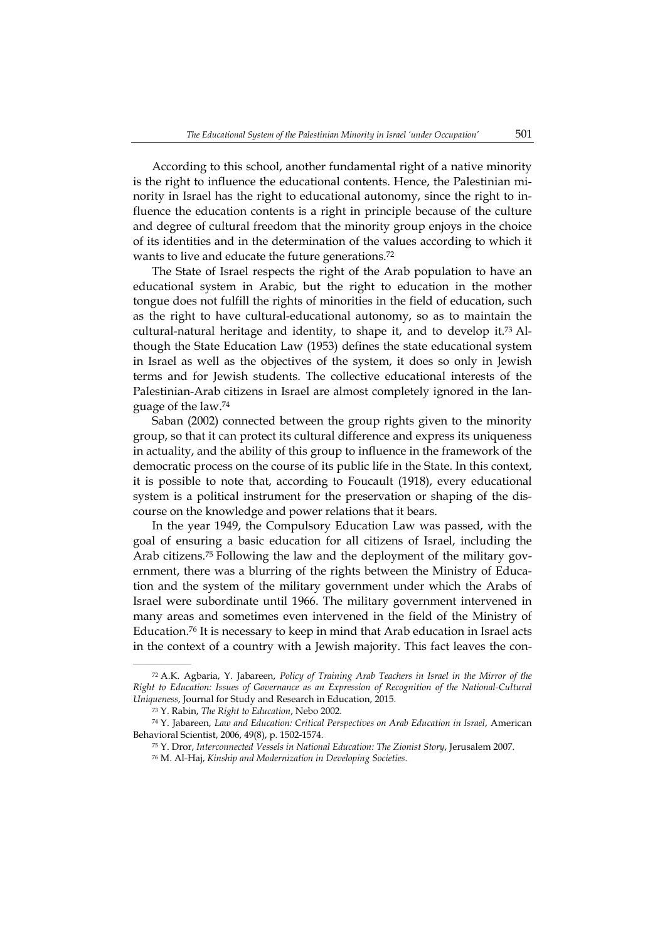According to this school, another fundamental right of a native minority is the right to influence the educational contents. Hence, the Palestinian minority in Israel has the right to educational autonomy, since the right to influence the education contents is a right in principle because of the culture and degree of cultural freedom that the minority group enjoys in the choice of its identities and in the determination of the values according to which it wants to live and educate the future generations.<sup>72</sup>

The State of Israel respects the right of the Arab population to have an educational system in Arabic, but the right to education in the mother tongue does not fulfill the rights of minorities in the field of education, such as the right to have cultural-educational autonomy, so as to maintain the cultural-natural heritage and identity, to shape it, and to develop it.73 Although the State Education Law (1953) defines the state educational system in Israel as well as the objectives of the system, it does so only in Jewish terms and for Jewish students. The collective educational interests of the Palestinian-Arab citizens in Israel are almost completely ignored in the language of the law.<sup>74</sup>

Saban (2002) connected between the group rights given to the minority group, so that it can protect its cultural difference and express its uniqueness in actuality, and the ability of this group to influence in the framework of the democratic process on the course of its public life in the State. In this context, it is possible to note that, according to Foucault (1918), every educational system is a political instrument for the preservation or shaping of the discourse on the knowledge and power relations that it bears.

In the year 1949, the Compulsory Education Law was passed, with the goal of ensuring a basic education for all citizens of Israel, including the Arab citizens.75 Following the law and the deployment of the military government, there was a blurring of the rights between the Ministry of Education and the system of the military government under which the Arabs of Israel were subordinate until 1966. The military government intervened in many areas and sometimes even intervened in the field of the Ministry of Education.<sup>76</sup> It is necessary to keep in mind that Arab education in Israel acts in the context of a country with a Jewish majority. This fact leaves the con-

<sup>72</sup> A.K. Agbaria, Y. Jabareen, *Policy of Training Arab Teachers in Israel in the Mirror of the Right to Education: Issues of Governance as an Expression of Recognition of the National-Cultural Uniqueness*, Journal for Study and Research in Education, 2015.

<sup>73</sup> Y. Rabin, *The Right to Education*, Nebo 2002.

<sup>74</sup> Y. Jabareen, *Law and Education: Critical Perspectives on Arab Education in Israel*, American Behavioral Scientist, 2006, 49(8), p. 1502-1574.

<sup>75</sup> Y. Dror, *Interconnected Vessels in National Education: The Zionist Story*, Jerusalem 2007.

<sup>76</sup> M. Al-Haj, *Kinship and Modernization in Developing Societies*.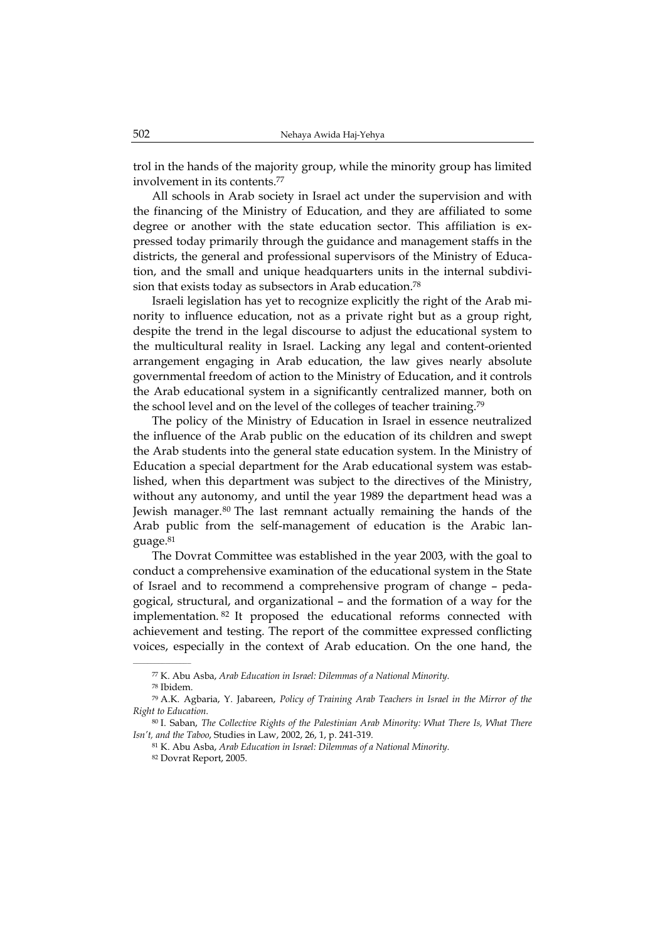trol in the hands of the majority group, while the minority group has limited involvement in its contents.<sup>77</sup>

All schools in Arab society in Israel act under the supervision and with the financing of the Ministry of Education, and they are affiliated to some degree or another with the state education sector. This affiliation is expressed today primarily through the guidance and management staffs in the districts, the general and professional supervisors of the Ministry of Education, and the small and unique headquarters units in the internal subdivision that exists today as subsectors in Arab education.<sup>78</sup>

Israeli legislation has yet to recognize explicitly the right of the Arab minority to influence education, not as a private right but as a group right, despite the trend in the legal discourse to adjust the educational system to the multicultural reality in Israel. Lacking any legal and content-oriented arrangement engaging in Arab education, the law gives nearly absolute governmental freedom of action to the Ministry of Education, and it controls the Arab educational system in a significantly centralized manner, both on the school level and on the level of the colleges of teacher training.<sup>79</sup>

The policy of the Ministry of Education in Israel in essence neutralized the influence of the Arab public on the education of its children and swept the Arab students into the general state education system. In the Ministry of Education a special department for the Arab educational system was established, when this department was subject to the directives of the Ministry, without any autonomy, and until the year 1989 the department head was a Jewish manager.<sup>80</sup> The last remnant actually remaining the hands of the Arab public from the self-management of education is the Arabic language.<sup>81</sup>

The Dovrat Committee was established in the year 2003, with the goal to conduct a comprehensive examination of the educational system in the State of Israel and to recommend a comprehensive program of change – pedagogical, structural, and organizational – and the formation of a way for the implementation. <sup>82</sup> It proposed the educational reforms connected with achievement and testing. The report of the committee expressed conflicting voices, especially in the context of Arab education. On the one hand, the

<sup>77</sup> K. Abu Asba, *Arab Education in Israel: Dilemmas of a National Minority*.

<sup>78</sup> Ibidem.

<sup>79</sup> A.K. Agbaria, Y. Jabareen, *Policy of Training Arab Teachers in Israel in the Mirror of the Right to Education*.

<sup>80</sup> I. Saban, *The Collective Rights of the Palestinian Arab Minority: What There Is, What There Isn't, and the Taboo*, Studies in Law, 2002, 26, 1, p. 241-319.

<sup>81</sup> K. Abu Asba, *Arab Education in Israel: Dilemmas of a National Minority*.

<sup>82</sup> Dovrat Report, 2005.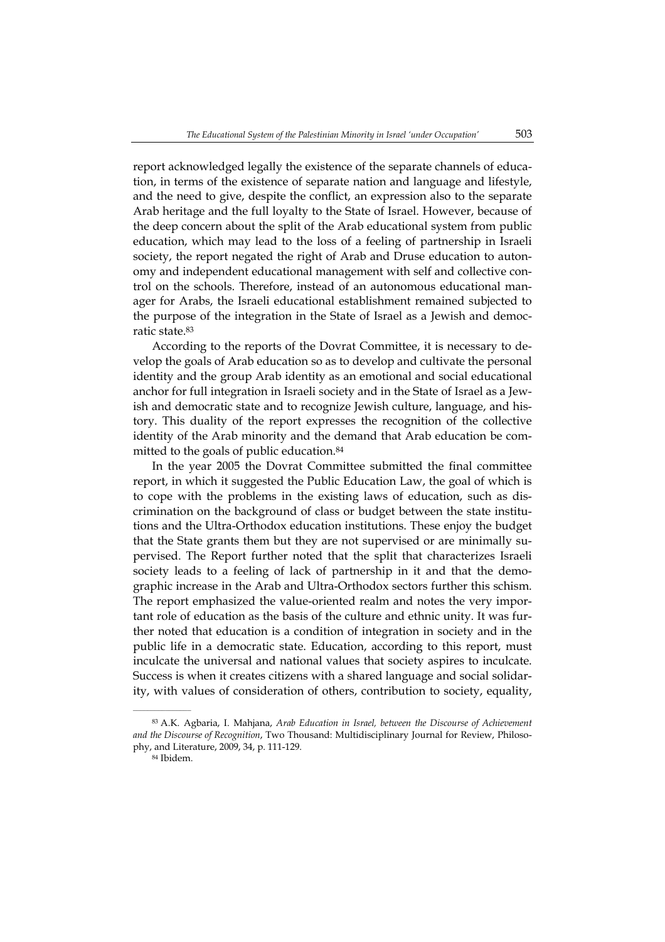report acknowledged legally the existence of the separate channels of education, in terms of the existence of separate nation and language and lifestyle, and the need to give, despite the conflict, an expression also to the separate Arab heritage and the full loyalty to the State of Israel. However, because of the deep concern about the split of the Arab educational system from public education, which may lead to the loss of a feeling of partnership in Israeli society, the report negated the right of Arab and Druse education to autonomy and independent educational management with self and collective control on the schools. Therefore, instead of an autonomous educational manager for Arabs, the Israeli educational establishment remained subjected to the purpose of the integration in the State of Israel as a Jewish and democratic state.<sup>83</sup>

According to the reports of the Dovrat Committee, it is necessary to develop the goals of Arab education so as to develop and cultivate the personal identity and the group Arab identity as an emotional and social educational anchor for full integration in Israeli society and in the State of Israel as a Jewish and democratic state and to recognize Jewish culture, language, and history. This duality of the report expresses the recognition of the collective identity of the Arab minority and the demand that Arab education be committed to the goals of public education.<sup>84</sup>

In the year 2005 the Dovrat Committee submitted the final committee report, in which it suggested the Public Education Law, the goal of which is to cope with the problems in the existing laws of education, such as discrimination on the background of class or budget between the state institutions and the Ultra-Orthodox education institutions. These enjoy the budget that the State grants them but they are not supervised or are minimally supervised. The Report further noted that the split that characterizes Israeli society leads to a feeling of lack of partnership in it and that the demographic increase in the Arab and Ultra-Orthodox sectors further this schism. The report emphasized the value-oriented realm and notes the very important role of education as the basis of the culture and ethnic unity. It was further noted that education is a condition of integration in society and in the public life in a democratic state. Education, according to this report, must inculcate the universal and national values that society aspires to inculcate. Success is when it creates citizens with a shared language and social solidarity, with values of consideration of others, contribution to society, equality,

<sup>83</sup> A.K. Agbaria, I. Mahjana, *Arab Education in Israel, between the Discourse of Achievement and the Discourse of Recognition*, Two Thousand: Multidisciplinary Journal for Review, Philosophy, and Literature, 2009, 34, p. 111-129.

<sup>84</sup> Ibidem.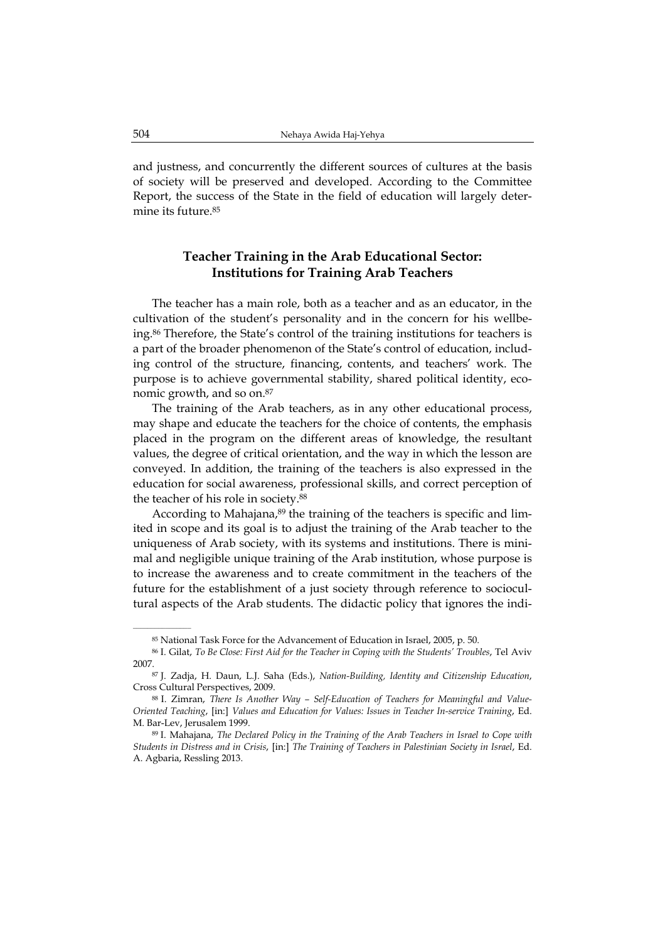and justness, and concurrently the different sources of cultures at the basis of society will be preserved and developed. According to the Committee Report, the success of the State in the field of education will largely determine its future.<sup>85</sup>

### **Teacher Training in the Arab Educational Sector: Institutions for Training Arab Teachers**

The teacher has a main role, both as a teacher and as an educator, in the cultivation of the student's personality and in the concern for his wellbeing.<sup>86</sup> Therefore, the State's control of the training institutions for teachers is a part of the broader phenomenon of the State's control of education, including control of the structure, financing, contents, and teachers' work. The purpose is to achieve governmental stability, shared political identity, economic growth, and so on.<sup>87</sup>

The training of the Arab teachers, as in any other educational process, may shape and educate the teachers for the choice of contents, the emphasis placed in the program on the different areas of knowledge, the resultant values, the degree of critical orientation, and the way in which the lesson are conveyed. In addition, the training of the teachers is also expressed in the education for social awareness, professional skills, and correct perception of the teacher of his role in society.<sup>88</sup>

According to Mahajana,<sup>89</sup> the training of the teachers is specific and limited in scope and its goal is to adjust the training of the Arab teacher to the uniqueness of Arab society, with its systems and institutions. There is minimal and negligible unique training of the Arab institution, whose purpose is to increase the awareness and to create commitment in the teachers of the future for the establishment of a just society through reference to sociocultural aspects of the Arab students. The didactic policy that ignores the indi-

<sup>85</sup> National Task Force for the Advancement of Education in Israel, 2005, p. 50.

<sup>86</sup> I. Gilat, *To Be Close: First Aid for the Teacher in Coping with the Students' Troubles*, Tel Aviv 2007.

<sup>87</sup> J. Zadja, H. Daun, L.J. Saha (Eds.), *Nation-Building, Identity and Citizenship Education*, Cross Cultural Perspectives, 2009.

<sup>88</sup> I. Zimran, *There Is Another Way – Self-Education of Teachers for Meaningful and Value-Oriented Teaching*, [in:] *Values and Education for Values: Issues in Teacher In-service Training*, Ed. M. Bar-Lev, Jerusalem 1999.

<sup>89</sup> I. Mahajana, *The Declared Policy in the Training of the Arab Teachers in Israel to Cope with Students in Distress and in Crisis*, [in:] *The Training of Teachers in Palestinian Society in Israel*, Ed. A. Agbaria, Ressling 2013.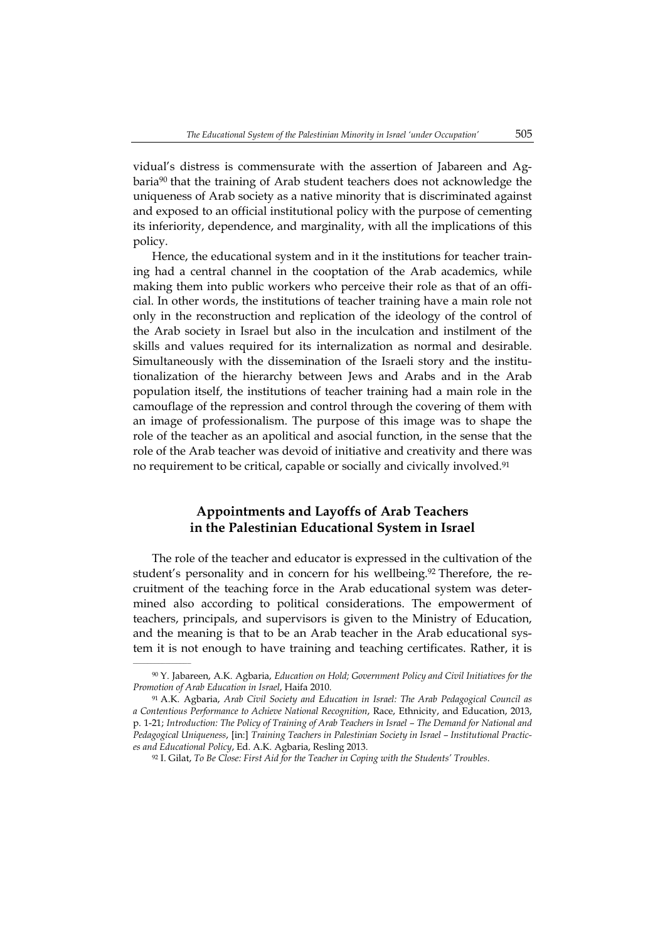vidual's distress is commensurate with the assertion of Jabareen and Agbaria<sup>90</sup> that the training of Arab student teachers does not acknowledge the uniqueness of Arab society as a native minority that is discriminated against and exposed to an official institutional policy with the purpose of cementing its inferiority, dependence, and marginality, with all the implications of this policy.

Hence, the educational system and in it the institutions for teacher training had a central channel in the cooptation of the Arab academics, while making them into public workers who perceive their role as that of an official. In other words, the institutions of teacher training have a main role not only in the reconstruction and replication of the ideology of the control of the Arab society in Israel but also in the inculcation and instilment of the skills and values required for its internalization as normal and desirable. Simultaneously with the dissemination of the Israeli story and the institutionalization of the hierarchy between Jews and Arabs and in the Arab population itself, the institutions of teacher training had a main role in the camouflage of the repression and control through the covering of them with an image of professionalism. The purpose of this image was to shape the role of the teacher as an apolitical and asocial function, in the sense that the role of the Arab teacher was devoid of initiative and creativity and there was no requirement to be critical, capable or socially and civically involved.<sup>91</sup>

# **Appointments and Layoffs of Arab Teachers in the Palestinian Educational System in Israel**

The role of the teacher and educator is expressed in the cultivation of the student's personality and in concern for his wellbeing.<sup>92</sup> Therefore, the recruitment of the teaching force in the Arab educational system was determined also according to political considerations. The empowerment of teachers, principals, and supervisors is given to the Ministry of Education, and the meaning is that to be an Arab teacher in the Arab educational system it is not enough to have training and teaching certificates. Rather, it is

<sup>90</sup> Y. Jabareen, A.K. Agbaria, *Education on Hold; Government Policy and Civil Initiatives for the Promotion of Arab Education in Israel*, Haifa 2010.

<sup>91</sup> A.K. Agbaria, *Arab Civil Society and Education in Israel: The Arab Pedagogical Council as a Contentious Performance to Achieve National Recognition*, Race, Ethnicity, and Education, 2013, p. 1-21; *Introduction: The Policy of Training of Arab Teachers in Israel – The Demand for National and Pedagogical Uniqueness*, [in:] *Training Teachers in Palestinian Society in Israel – Institutional Practices and Educational Policy*, Ed. A.K. Agbaria, Resling 2013.

<sup>92</sup> I. Gilat, *To Be Close: First Aid for the Teacher in Coping with the Students' Troubles*.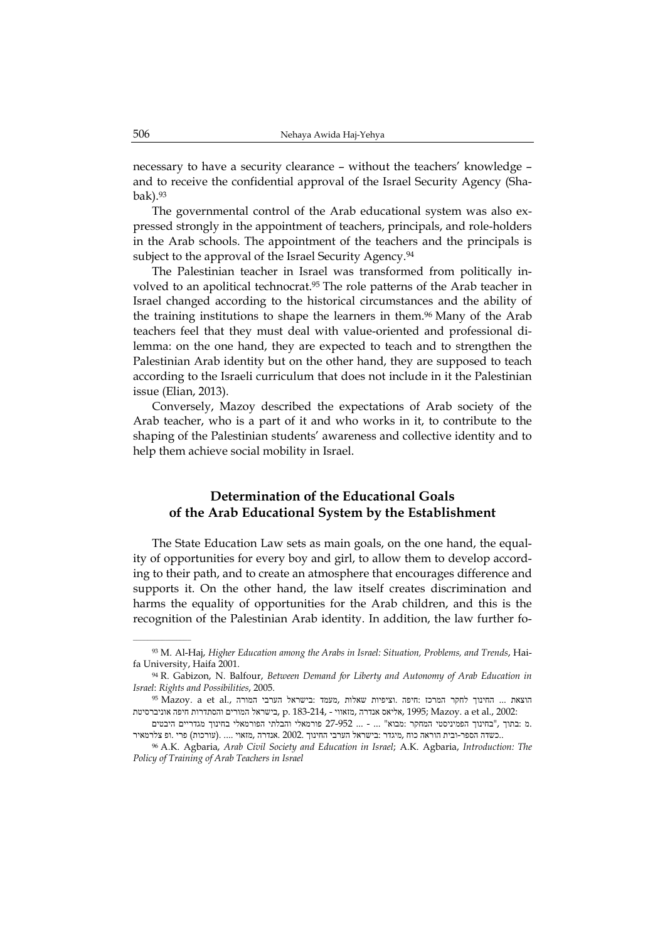necessary to have a security clearance – without the teachers' knowledge – and to receive the confidential approval of the Israel Security Agency (Shabak).<sup>93</sup>

The governmental control of the Arab educational system was also expressed strongly in the appointment of teachers, principals, and role-holders in the Arab schools. The appointment of the teachers and the principals is subject to the approval of the Israel Security Agency.<sup>94</sup>

The Palestinian teacher in Israel was transformed from politically involved to an apolitical technocrat.<sup>95</sup> The role patterns of the Arab teacher in Israel changed according to the historical circumstances and the ability of the training institutions to shape the learners in them.<sup>96</sup> Many of the Arab teachers feel that they must deal with value-oriented and professional dilemma: on the one hand, they are expected to teach and to strengthen the Palestinian Arab identity but on the other hand, they are supposed to teach according to the Israeli curriculum that does not include in it the Palestinian issue (Elian, 2013).

Conversely, Mazoy described the expectations of Arab society of the Arab teacher, who is a part of it and who works in it, to contribute to the shaping of the Palestinian students' awareness and collective identity and to help them achieve social mobility in Israel.

## **Determination of the Educational Goals of the Arab Educational System by the Establishment**

The State Education Law sets as main goals, on the one hand, the equality of opportunities for every boy and girl, to allow them to develop according to their path, and to create an atmosphere that encourages difference and supports it. On the other hand, the law itself creates discrimination and harms the equality of opportunities for the Arab children, and this is the recognition of the Palestinian Arab identity. In addition, the law further fo-

<sup>93</sup> M. Al-Haj, *Higher Education among the Arabs in Israel: Situation, Problems, and Trends*, Haifa University, Haifa 2001.

<sup>94</sup> R. Gabizon, N. Balfour, *Between Demand for Liberty and Autonomy of Arab Education in Israel*: *Rights and Possibilities*, 2005.

<sup>95</sup> Mazoy. <br/>a et al., החינוך לחקר המרכז :חיפה .וציפיות שאלות ,מעמד :בישראל הערבי המור<br/>ה $\dots$  ... החינוך ה 2002: .,al et a .Mazoy; 1995 ,אליאס אנדרה ,מזאווי - 183-214, .p ,בישראל המורים והסתדרות חיפה אוניברסיטת

 <sup>.</sup>מ :בתוך ,"בחינוך הפמיניסטי המחקר :מבוא" ... - ... 27-952 פורמאלי והבלתי הפורמאלי בחינוך מגדריים היבטים ..כשדה הספר-ובית הוראה כוח ,מיגדר :בישראל הערבי החינוך 2002. .אנדרה ,מזאוי .... .(עורכות) פרי .ופ צלרמאיר

<sup>96</sup> A.K. Agbaria, *Arab Civil Society and Education in Israel*; A.K. Agbaria, *Introduction: The Policy of Training of Arab Teachers in Israel*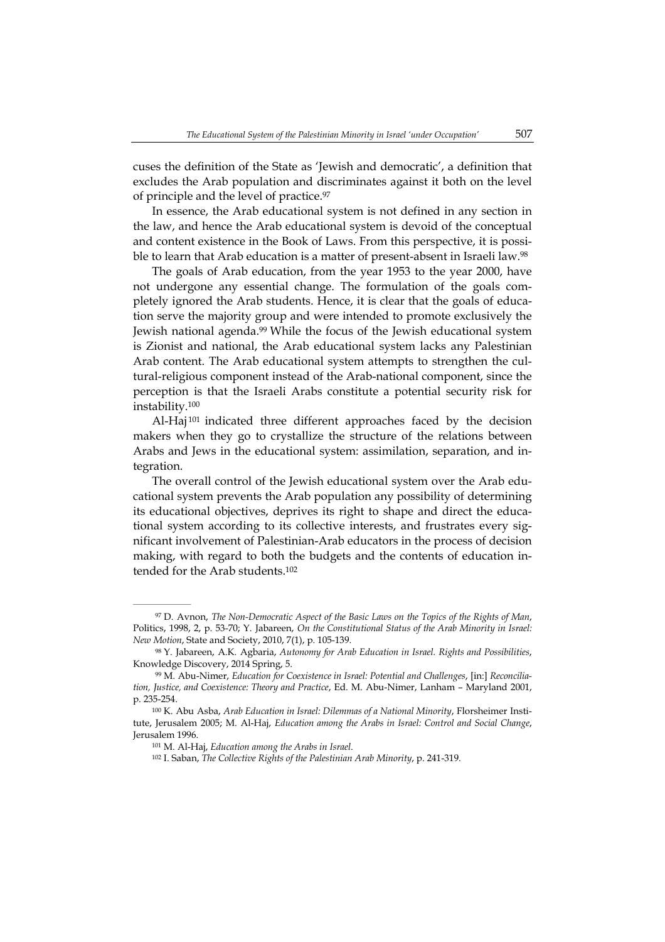cuses the definition of the State as 'Jewish and democratic', a definition that excludes the Arab population and discriminates against it both on the level of principle and the level of practice.<sup>97</sup>

In essence, the Arab educational system is not defined in any section in the law, and hence the Arab educational system is devoid of the conceptual and content existence in the Book of Laws. From this perspective, it is possible to learn that Arab education is a matter of present-absent in Israeli law.<sup>98</sup>

The goals of Arab education, from the year 1953 to the year 2000, have not undergone any essential change. The formulation of the goals completely ignored the Arab students. Hence, it is clear that the goals of education serve the majority group and were intended to promote exclusively the Jewish national agenda.<sup>99</sup> While the focus of the Jewish educational system is Zionist and national, the Arab educational system lacks any Palestinian Arab content. The Arab educational system attempts to strengthen the cultural-religious component instead of the Arab-national component, since the perception is that the Israeli Arabs constitute a potential security risk for instability.<sup>100</sup>

Al-Haj<sup>101</sup> indicated three different approaches faced by the decision makers when they go to crystallize the structure of the relations between Arabs and Jews in the educational system: assimilation, separation, and integration.

The overall control of the Jewish educational system over the Arab educational system prevents the Arab population any possibility of determining its educational objectives, deprives its right to shape and direct the educational system according to its collective interests, and frustrates every significant involvement of Palestinian-Arab educators in the process of decision making, with regard to both the budgets and the contents of education intended for the Arab students.<sup>102</sup>

<sup>97</sup> D. Avnon, *The Non-Democratic Aspect of the Basic Laws on the Topics of the Rights of Man*, Politics, 1998, 2, p. 53-70; Y. Jabareen, *On the Constitutional Status of the Arab Minority in Israel: New Motion*, State and Society, 2010, 7(1), p. 105-139.

<sup>98</sup> Y. Jabareen, A.K. Agbaria, *Autonomy for Arab Education in Israel. Rights and Possibilities*, Knowledge Discovery, 2014 Spring, 5.

<sup>99</sup> M. Abu-Nimer, *Education for Coexistence in Israel: Potential and Challenges*, [in:] *Reconciliation, Justice, and Coexistence: Theory and Practice*, Ed. M. Abu-Nimer, Lanham – Maryland 2001, p. 235-254.

<sup>100</sup> K. Abu Asba, *Arab Education in Israel: Dilemmas of a National Minority*, Florsheimer Institute, Jerusalem 2005; M. Al-Haj, *Education among the Arabs in Israel: Control and Social Change*, Jerusalem 1996.

<sup>101</sup> M. Al-Haj, *Education among the Arabs in Israel*.

<sup>102</sup> I. Saban, *The Collective Rights of the Palestinian Arab Minority*, p. 241-319.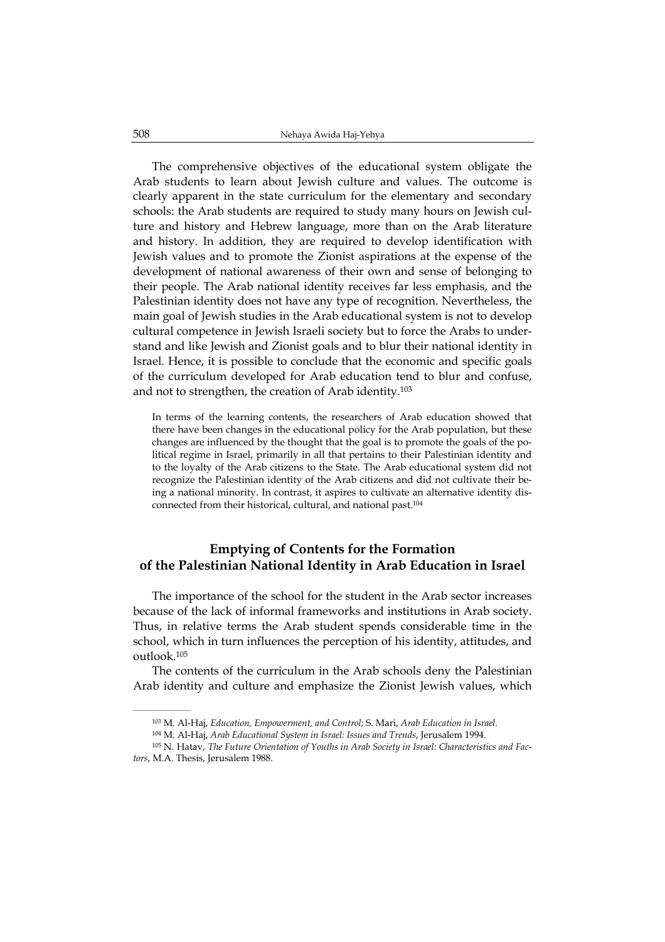The comprehensive objectives of the educational system obligate the Arab students to learn about Jewish culture and values. The outcome is clearly apparent in the state curriculum for the elementary and secondary schools: the Arab students are required to study many hours on Jewish culture and history and Hebrew language, more than on the Arab literature and history. In addition, they are required to develop identification with Jewish values and to promote the Zionist aspirations at the expense of the development of national awareness of their own and sense of belonging to their people. The Arab national identity receives far less emphasis, and the Palestinian identity does not have any type of recognition. Nevertheless, the main goal of Jewish studies in the Arab educational system is not to develop cultural competence in Jewish Israeli society but to force the Arabs to understand and like Jewish and Zionist goals and to blur their national identity in Israel. Hence, it is possible to conclude that the economic and specific goals of the curriculum developed for Arab education tend to blur and confuse, and not to strengthen, the creation of Arab identity.<sup>103</sup>

In terms of the learning contents, the researchers of Arab education showed that there have been changes in the educational policy for the Arab population, but these changes are influenced by the thought that the goal is to promote the goals of the political regime in Israel, primarily in all that pertains to their Palestinian identity and to the loyalty of the Arab citizens to the State. The Arab educational system did not recognize the Palestinian identity of the Arab citizens and did not cultivate their being a national minority. In contrast, it aspires to cultivate an alternative identity disconnected from their historical, cultural, and national past.<sup>104</sup>

### **Emptying of Contents for the Formation of the Palestinian National Identity in Arab Education in Israel**

The importance of the school for the student in the Arab sector increases because of the lack of informal frameworks and institutions in Arab society. Thus, in relative terms the Arab student spends considerable time in the school, which in turn influences the perception of his identity, attitudes, and outlook.<sup>105</sup>

The contents of the curriculum in the Arab schools deny the Palestinian Arab identity and culture and emphasize the Zionist Jewish values, which

<sup>103</sup> M. Al-Haj, *Education, Empowerment, and Control*; S. Mari, *Arab Education in Israel*.

<sup>104</sup> M. Al-Haj, *Arab Educational System in Israel: Issues and Trends*, Jerusalem 1994.

<sup>105</sup> N. Hatav, *The Future Orientation of Youths in Arab Society in Israel: Characteristics and Factors*, M.A. Thesis, Jerusalem 1988.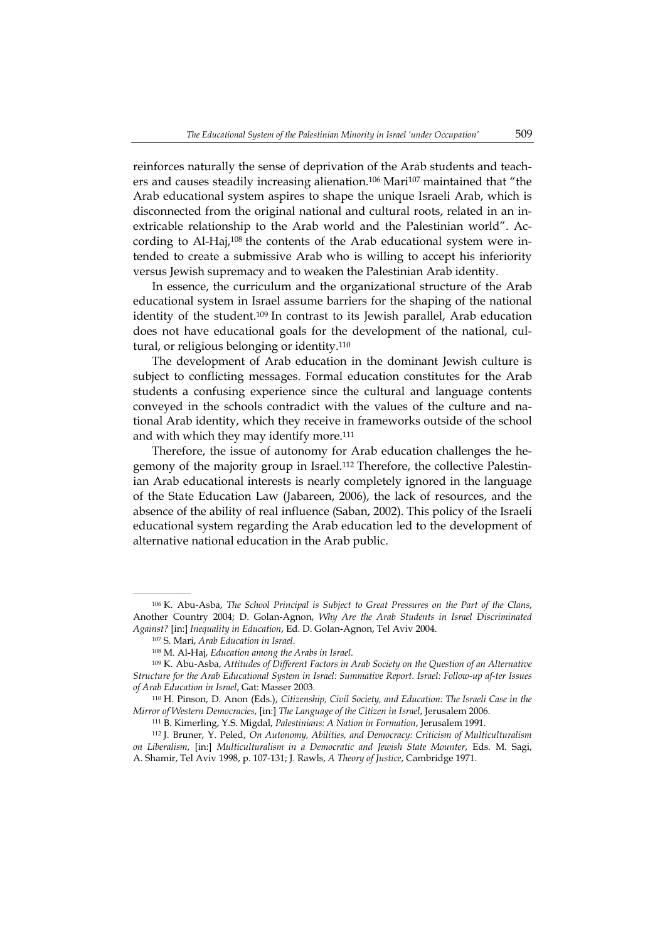reinforces naturally the sense of deprivation of the Arab students and teachers and causes steadily increasing alienation.<sup>106</sup> Mari<sup>107</sup> maintained that "the Arab educational system aspires to shape the unique Israeli Arab, which is disconnected from the original national and cultural roots, related in an inextricable relationship to the Arab world and the Palestinian world". According to Al-Haj,108 the contents of the Arab educational system were intended to create a submissive Arab who is willing to accept his inferiority versus Jewish supremacy and to weaken the Palestinian Arab identity.

In essence, the curriculum and the organizational structure of the Arab educational system in Israel assume barriers for the shaping of the national identity of the student.<sup>109</sup> In contrast to its Jewish parallel, Arab education does not have educational goals for the development of the national, cultural, or religious belonging or identity.<sup>110</sup>

The development of Arab education in the dominant Jewish culture is subject to conflicting messages. Formal education constitutes for the Arab students a confusing experience since the cultural and language contents conveyed in the schools contradict with the values of the culture and national Arab identity, which they receive in frameworks outside of the school and with which they may identify more.<sup>111</sup>

Therefore, the issue of autonomy for Arab education challenges the hegemony of the majority group in Israel.112 Therefore, the collective Palestinian Arab educational interests is nearly completely ignored in the language of the State Education Law (Jabareen, 2006), the lack of resources, and the absence of the ability of real influence (Saban, 2002). This policy of the Israeli educational system regarding the Arab education led to the development of alternative national education in the Arab public.

<sup>106</sup> K. Abu-Asba, *The School Principal is Subject to Great Pressures on the Part of the Clans*, Another Country 2004; D. Golan-Agnon, *Why Are the Arab Students in Israel Discriminated Against?* [in:] *Inequality in Education*, Ed. D. Golan-Agnon, Tel Aviv 2004.

<sup>107</sup> S. Mari, *Arab Education in Israel*.

<sup>108</sup> M. Al-Haj, *Education among the Arabs in Israel*.

<sup>109</sup> K. Abu-Asba, *Attitudes of Different Factors in Arab Society on the Question of an Alternative Structure for the Arab Educational System in Israel: Summative Report. Israel: Follow-up af-ter Issues of Arab Education in Israel*, Gat: Masser 2003.

<sup>110</sup> H. Pinson, D. Anon (Eds.), *Citizenship, Civil Society, and Education: The Israeli Case in the Mirror of Western Democracies*, [in:] *The Language of the Citizen in Israel*, Jerusalem 2006.

<sup>111</sup> B. Kimerling, Y.S. Migdal, *Palestinians: A Nation in Formation*, Jerusalem 1991.

<sup>112</sup> J. Bruner, Y. Peled, *On Autonomy, Abilities, and Democracy: Criticism of Multiculturalism on Liberalism*, [in:] *Multiculturalism in a Democratic and Jewish State Mounter*, Eds. M. Sagi, A. Shamir, Tel Aviv 1998, p. 107-131; J. Rawls, *A Theory of Justice*, Cambridge 1971.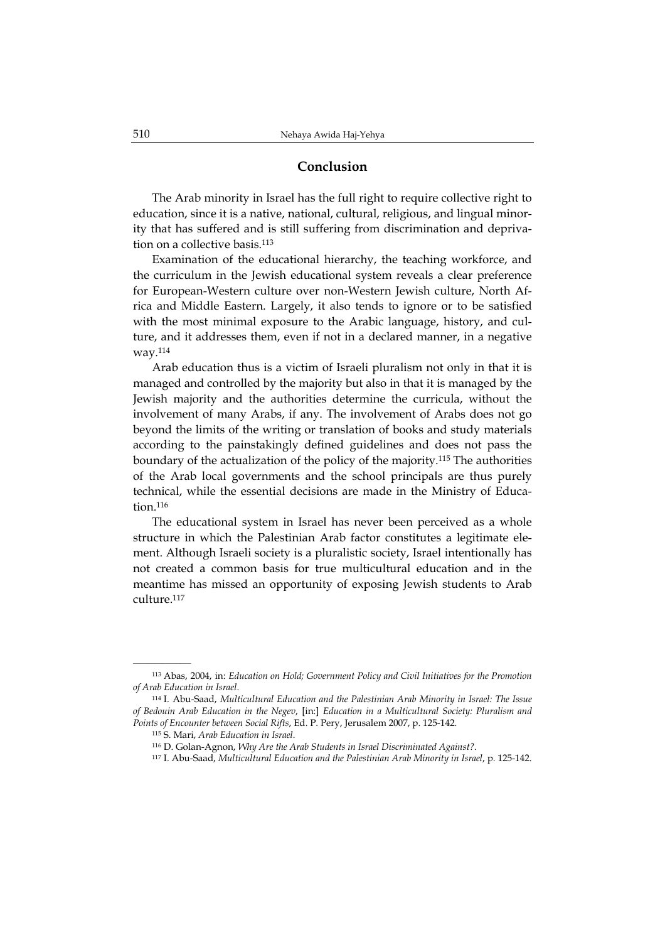### **Conclusion**

The Arab minority in Israel has the full right to require collective right to education, since it is a native, national, cultural, religious, and lingual minority that has suffered and is still suffering from discrimination and deprivation on a collective basis.<sup>113</sup>

Examination of the educational hierarchy, the teaching workforce, and the curriculum in the Jewish educational system reveals a clear preference for European-Western culture over non-Western Jewish culture, North Africa and Middle Eastern. Largely, it also tends to ignore or to be satisfied with the most minimal exposure to the Arabic language, history, and culture, and it addresses them, even if not in a declared manner, in a negative way.<sup>114</sup>

Arab education thus is a victim of Israeli pluralism not only in that it is managed and controlled by the majority but also in that it is managed by the Jewish majority and the authorities determine the curricula, without the involvement of many Arabs, if any. The involvement of Arabs does not go beyond the limits of the writing or translation of books and study materials according to the painstakingly defined guidelines and does not pass the boundary of the actualization of the policy of the majority.<sup>115</sup> The authorities of the Arab local governments and the school principals are thus purely technical, while the essential decisions are made in the Ministry of Education.<sup>116</sup>

The educational system in Israel has never been perceived as a whole structure in which the Palestinian Arab factor constitutes a legitimate element. Although Israeli society is a pluralistic society, Israel intentionally has not created a common basis for true multicultural education and in the meantime has missed an opportunity of exposing Jewish students to Arab culture.<sup>117</sup>

<sup>113</sup> Abas, 2004, in: *Education on Hold; Government Policy and Civil Initiatives for the Promotion of Arab Education in Israel*.

<sup>114</sup> I. Abu-Saad, *Multicultural Education and the Palestinian Arab Minority in Israel: The Issue of Bedouin Arab Education in the Negev*, [in:] *Education in a Multicultural Society: Pluralism and Points of Encounter between Social Rifts*, Ed. P. Pery, Jerusalem 2007, p. 125-142.

<sup>115</sup> S. Mari, *Arab Education in Israel*.

<sup>116</sup> D. Golan-Agnon, *Why Are the Arab Students in Israel Discriminated Against?*.

<sup>117</sup> I. Abu-Saad, *Multicultural Education and the Palestinian Arab Minority in Israel*, p. 125-142.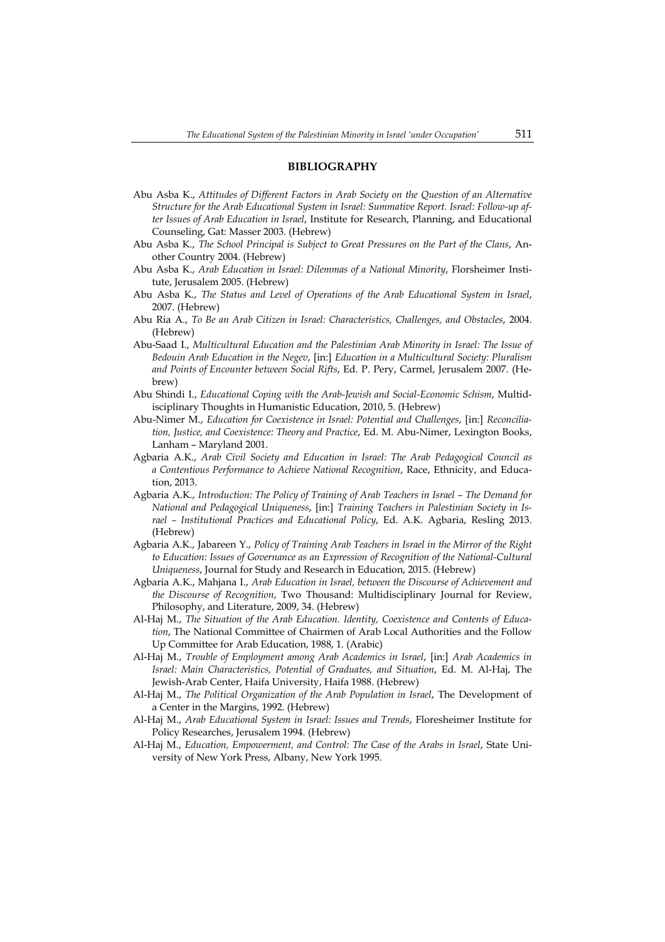#### **BIBLIOGRAPHY**

- Abu Asba K., *Attitudes of Different Factors in Arab Society on the Question of an Alternative Structure for the Arab Educational System in Israel: Summative Report. Israel: Follow-up after Issues of Arab Education in Israel*, Institute for Research, Planning, and Educational Counseling, Gat: Masser 2003. (Hebrew)
- Abu Asba K., *The School Principal is Subject to Great Pressures on the Part of the Clans*, Another Country 2004. (Hebrew)
- Abu Asba K., *Arab Education in Israel: Dilemmas of a National Minority*, Florsheimer Institute, Jerusalem 2005. (Hebrew)
- Abu Asba K., *The Status and Level of Operations of the Arab Educational System in Israel*, 2007. (Hebrew)
- Abu Ria A., *To Be an Arab Citizen in Israel: Characteristics, Challenges, and Obstacles*, 2004. (Hebrew)
- Abu-Saad I., *Multicultural Education and the Palestinian Arab Minority in Israel: The Issue of Bedouin Arab Education in the Negev*, [in:] *Education in a Multicultural Society: Pluralism and Points of Encounter between Social Rifts*, Ed. P. Pery, Carmel, Jerusalem 2007. (Hebrew)
- Abu Shindi I., *Educational Coping with the Arab-Jewish and Social-Economic Schism*, Multidisciplinary Thoughts in Humanistic Education, 2010, 5. (Hebrew)
- Abu-Nimer M., *Education for Coexistence in Israel: Potential and Challenges*, [in:] *Reconciliation, Justice, and Coexistence: Theory and Practice*, Ed. M. Abu-Nimer, Lexington Books, Lanham – Maryland 2001.
- Agbaria A.K., *Arab Civil Society and Education in Israel: The Arab Pedagogical Council as a Contentious Performance to Achieve National Recognition*, Race, Ethnicity, and Education, 2013.
- Agbaria A.K., *Introduction: The Policy of Training of Arab Teachers in Israel The Demand for National and Pedagogical Uniqueness*, [in:] *Training Teachers in Palestinian Society in Israel – Institutional Practices and Educational Policy*, Ed. A.K. Agbaria, Resling 2013. (Hebrew)
- Agbaria A.K., Jabareen Y., *Policy of Training Arab Teachers in Israel in the Mirror of the Right to Education: Issues of Governance as an Expression of Recognition of the National-Cultural Uniqueness*, Journal for Study and Research in Education, 2015. (Hebrew)
- Agbaria A.K., Mahjana I., *Arab Education in Israel, between the Discourse of Achievement and the Discourse of Recognition*, Two Thousand: Multidisciplinary Journal for Review, Philosophy, and Literature, 2009, 34. (Hebrew)
- Al-Haj M., *The Situation of the Arab Education. Identity, Coexistence and Contents of Education*, The National Committee of Chairmen of Arab Local Authorities and the Follow Up Committee for Arab Education, 1988, 1. (Arabic)
- Al-Haj M., *Trouble of Employment among Arab Academics in Israel*, [in:] *Arab Academics in Israel: Main Characteristics, Potential of Graduates, and Situation*, Ed. M. Al-Haj, The Jewish-Arab Center, Haifa University, Haifa 1988. (Hebrew)
- Al-Haj M., *The Political Organization of the Arab Population in Israel*, The Development of a Center in the Margins, 1992. (Hebrew)
- Al-Haj M., *Arab Educational System in Israel: Issues and Trends*, Floresheimer Institute for Policy Researches, Jerusalem 1994. (Hebrew)
- Al-Haj M., *Education, Empowerment, and Control: The Case of the Arabs in Israel*, State University of New York Press, Albany, New York 1995.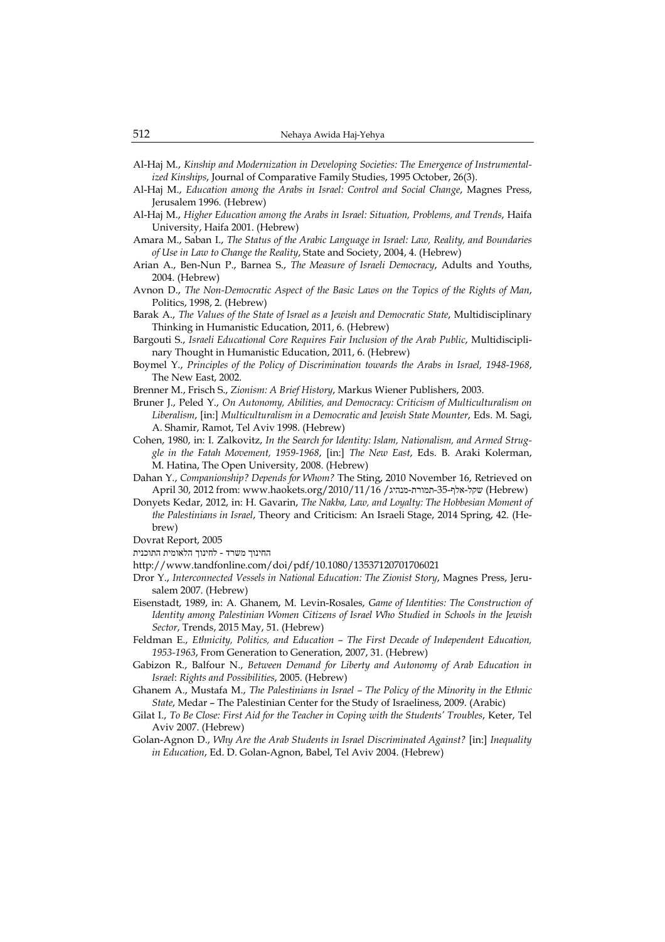- Al-Haj M., *Kinship and Modernization in Developing Societies: The Emergence of Instrumentalized Kinships*, Journal of Comparative Family Studies, 1995 October, 26(3).
- Al-Haj M., *Education among the Arabs in Israel: Control and Social Change*, Magnes Press, Jerusalem 1996. (Hebrew)
- Al-Haj M., *Higher Education among the Arabs in Israel: Situation, Problems, and Trends*, Haifa University, Haifa 2001. (Hebrew)
- Amara M., Saban I., *The Status of the Arabic Language in Israel: Law, Reality, and Boundaries of Use in Law to Change the Reality*, State and Society, 2004, 4. (Hebrew)
- Arian A., Ben-Nun P., Barnea S., *The Measure of Israeli Democracy*, Adults and Youths, 2004. (Hebrew)
- Avnon D., *The Non-Democratic Aspect of the Basic Laws on the Topics of the Rights of Man*, Politics, 1998, 2. (Hebrew)
- Barak A., *The Values of the State of Israel as a Jewish and Democratic State*, Multidisciplinary Thinking in Humanistic Education, 2011, 6. (Hebrew)
- Bargouti S., *Israeli Educational Core Requires Fair Inclusion of the Arab Public*, Multidisciplinary Thought in Humanistic Education, 2011, 6. (Hebrew)
- Boymel Y., *Principles of the Policy of Discrimination towards the Arabs in Israel, 1948-1968*, The New East, 2002.
- Brenner M., Frisch S., *Zionism: A Brief History*, Markus Wiener Publishers, 2003.
- Bruner J., Peled Y., *On Autonomy, Abilities, and Democracy: Criticism of Multiculturalism on Liberalism*, [in:] *Multiculturalism in a Democratic and Jewish State Mounter*, Eds. M. Sagi, A. Shamir, Ramot, Tel Aviv 1998. (Hebrew)
- Cohen, 1980, in: I. Zalkovitz, *In the Search for Identity: Islam, Nationalism, and Armed Struggle in the Fatah Movement, 1959-1968*, [in:] *The New East*, Eds. B. Araki Kolerman, M. Hatina, The Open University, 2008. (Hebrew)
- Dahan Y., *Companionship? Depends for Whom?* The Sting, 2010 November 16, Retrieved on April 30, 2012 from: www.haokets.org/2010/11/16 /ממורת-מנהיג (Hebrew) שקל-אלף-35-תמורת-מנהיג
- Donyets Kedar, 2012, in: H. Gavarin, *The Nakba, Law, and Loyalty: The Hobbesian Moment of the Palestinians in Israel*, Theory and Criticism: An Israeli Stage, 2014 Spring, 42. (Hebrew)
- Dovrat Report, 2005
- החינוך משרד לחינוך הלאומית התוכנית
- http://www.tandfonline.com/doi/pdf/10.1080/13537120701706021
- Dror Y., *Interconnected Vessels in National Education: The Zionist Story*, Magnes Press, Jerusalem 2007. (Hebrew)
- Eisenstadt, 1989, in: A. Ghanem, M. Levin-Rosales, *Game of Identities: The Construction of Identity among Palestinian Women Citizens of Israel Who Studied in Schools in the Jewish Sector*, Trends, 2015 May, 51. (Hebrew)
- Feldman E., *Ethnicity, Politics, and Education The First Decade of Independent Education, 1953-1963*, From Generation to Generation, 2007, 31. (Hebrew)
- Gabizon R., Balfour N., *Between Demand for Liberty and Autonomy of Arab Education in Israel*: *Rights and Possibilities*, 2005. (Hebrew)
- Ghanem A., Mustafa M., *The Palestinians in Israel The Policy of the Minority in the Ethnic State*, Medar – The Palestinian Center for the Study of Israeliness, 2009. (Arabic)
- Gilat I., *To Be Close: First Aid for the Teacher in Coping with the Students' Troubles*, Keter, Tel Aviv 2007. (Hebrew)
- Golan-Agnon D., *Why Are the Arab Students in Israel Discriminated Against?* [in:] *Inequality in Education*, Ed. D. Golan-Agnon, Babel, Tel Aviv 2004. (Hebrew)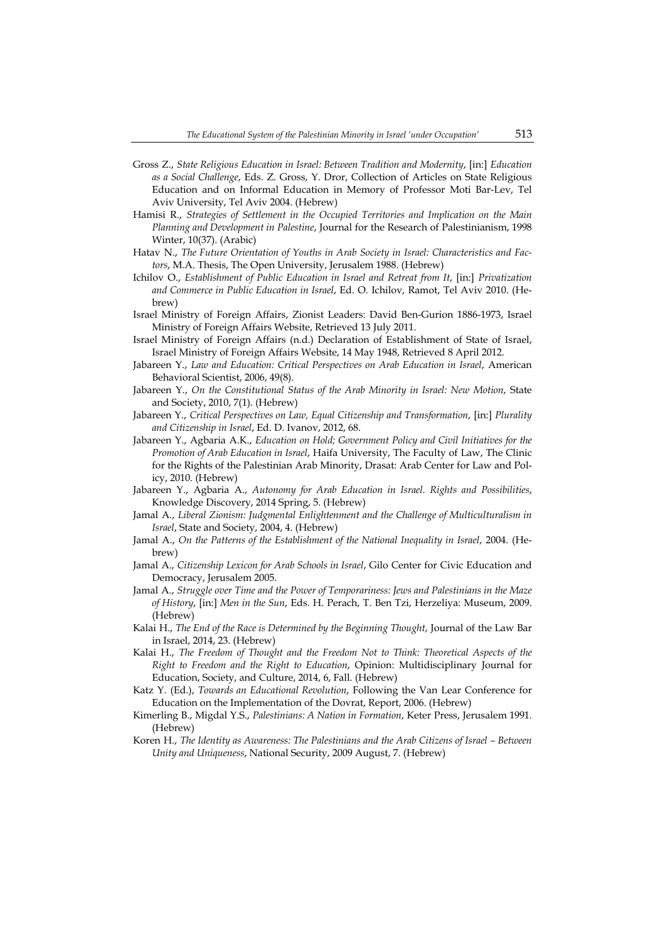- Gross Z., *State Religious Education in Israel: Between Tradition and Modernity*, [in:] *Education as a Social Challenge*, Eds. Z. Gross, Y. Dror, Collection of Articles on State Religious Education and on Informal Education in Memory of Professor Moti Bar-Lev, Tel Aviv University, Tel Aviv 2004. (Hebrew)
- Hamisi R., *Strategies of Settlement in the Occupied Territories and Implication on the Main Planning and Development in Palestine*, Journal for the Research of Palestinianism, 1998 Winter, 10(37). (Arabic)
- Hatav N., *The Future Orientation of Youths in Arab Society in Israel: Characteristics and Factors*, M.A. Thesis, The Open University, Jerusalem 1988. (Hebrew)
- Ichilov O., *Establishment of Public Education in Israel and Retreat from It*, [in:] *Privatization and Commerce in Public Education in Israel*, Ed. O. Ichilov, Ramot, Tel Aviv 2010. (Hebrew)
- Israel Ministry of Foreign Affairs, Zionist Leaders: David Ben-Gurion 1886-1973, Israel Ministry of Foreign Affairs Website, Retrieved 13 July 2011.
- Israel Ministry of Foreign Affairs (n.d.) Declaration of Establishment of State of Israel, Israel Ministry of Foreign Affairs Website, 14 May 1948, Retrieved 8 April 2012.
- Jabareen Y., *Law and Education: Critical Perspectives on Arab Education in Israel*, American Behavioral Scientist, 2006, 49(8).
- Jabareen Y., *On the Constitutional Status of the Arab Minority in Israel: New Motion*, State and Society, 2010, 7(1). (Hebrew)
- Jabareen Y., *Critical Perspectives on Law, Equal Citizenship and Transformation*, [in:] *Plurality and Citizenship in Israel*, Ed. D. Ivanov, 2012, 68.
- Jabareen Y., Agbaria A.K., *Education on Hold; Government Policy and Civil Initiatives for the Promotion of Arab Education in Israel*, Haifa University, The Faculty of Law, The Clinic for the Rights of the Palestinian Arab Minority, Drasat: Arab Center for Law and Policy, 2010. (Hebrew)
- Jabareen Y., Agbaria A., *Autonomy for Arab Education in Israel. Rights and Possibilities*, Knowledge Discovery, 2014 Spring, 5. (Hebrew)
- Jamal A., *Liberal Zionism: Judgmental Enlightenment and the Challenge of Multiculturalism in Israel*, State and Society, 2004, 4. (Hebrew)
- Jamal A., *On the Patterns of the Establishment of the National Inequality in Israel*, 2004. (Hebrew)
- Jamal A., *Citizenship Lexicon for Arab Schools in Israel*, Gilo Center for Civic Education and Democracy, Jerusalem 2005.
- Jamal A., *Struggle over Time and the Power of Temporariness: Jews and Palestinians in the Maze of History*, [in:] *Men in the Sun*, Eds. H. Perach, T. Ben Tzi, Herzeliya: Museum, 2009. (Hebrew)
- Kalai H., *The End of the Race is Determined by the Beginning Thought*, Journal of the Law Bar in Israel, 2014, 23. (Hebrew)
- Kalai H., *The Freedom of Thought and the Freedom Not to Think: Theoretical Aspects of the Right to Freedom and the Right to Education*, Opinion: Multidisciplinary Journal for Education, Society, and Culture, 2014, 6, Fall. (Hebrew)
- Katz Y. (Ed.), *Towards an Educational Revolution*, Following the Van Lear Conference for Education on the Implementation of the Dovrat, Report, 2006. (Hebrew)
- Kimerling B., Migdal Y.S., *Palestinians: A Nation in Formation*, Keter Press, Jerusalem 1991. (Hebrew)
- Koren H., *The Identity as Awareness: The Palestinians and the Arab Citizens of Israel Between Unity and Uniqueness*, National Security, 2009 August, 7. (Hebrew)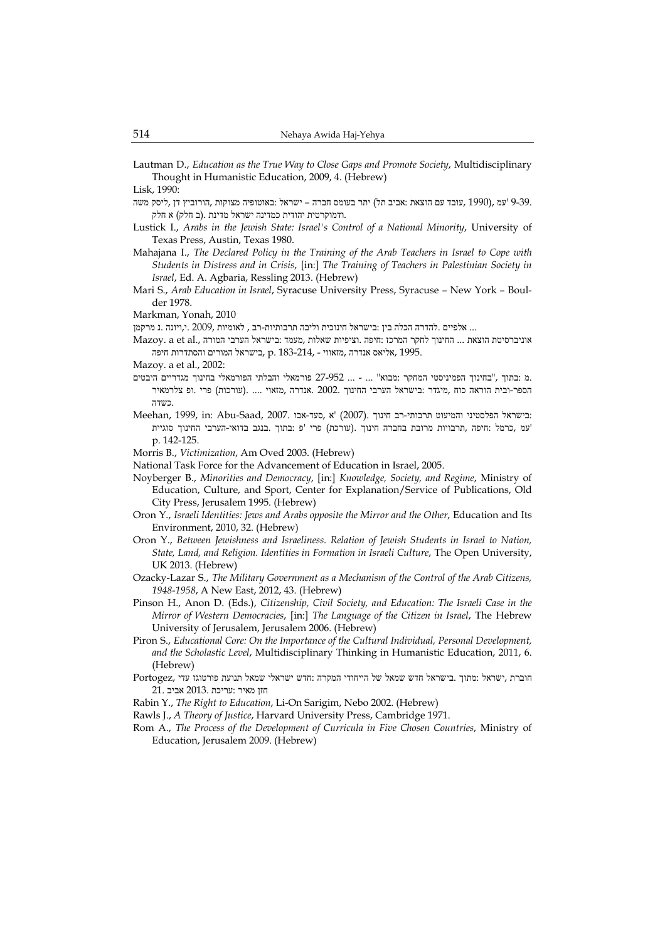Lautman D., *Education as the True Way to Close Gaps and Promote Society*, Multidisciplinary Thought in Humanistic Education, 2009, 4. (Hebrew)

Lisk, 1990:

- 9-39. 'עמ ,(1990 ,עובד עם הוצאת :אביב תל) יתר בעומס חברה ישראל :באוטופיה מצוקות ,הורוביץ דן ,ליסק משה .ודמוקרטית יהודית כמדינה ישראל מדינת .(ב חלק) א חלק
- Lustick I., *Arabs in the Jewish State: Israel's Control of a National Minority*, University of Texas Press, Austin, Texas 1980.
- Mahajana I., *The Declared Policy in the Training of the Arab Teachers in Israel to Cope with Students in Distress and in Crisis*, [in:] *The Training of Teachers in Palestinian Society in Israel*, Ed. A. Agbaria, Ressling 2013. (Hebrew)
- Mari S., *Arab Education in Israel*, Syracuse University Press, Syracuse New York Boulder 1978.
- Markman, Yonah, 2010
- ... אלפיים .להדרה הכלה בין :בישראל חינוכית וליבה תרבותיות-רב , לאומיות ,2009 .י,ויונה .נ מרקמן
- אוניברסיטת הוצאת ... החינוך לחקר המרכז :חיפה .וציפיות שאלות ,מעמד :בישראל הערבי המורה .,al et a .Mazoy היפה היפה המורים היאווי - 183-214, .p. 183-214, .p היפה היפה היפה

Mazoy. a et al., 2002:

- .מ :בתוך ,"בחינוך הפמיניסטי המחקר :מבוא " ... ... 27-952 פורמאלי והבלתי הפורמאלי בחינוך מגדריים היבטים הספר-ובית הוראה כוח ,מיגדר :בישראל הערבי החינוך 2002. .אנדרה ,מזאוי .... .(עורכות) פרי .ופ צלרמאיר .כשדה
- Meehan, 1999, in: Abu-Saad, 2007. א ,סעד-אבו (2007). א ,סעד-אבו בוחמיעוט תרבותי-רב חינוך 'עמ ,כרמל :חיפה ,תרבויות מרובת בחברה חינוך .(עורכת ) פרי 'פ :בתוך .בנגב בדואי-הערבי החינוך סוגיית p. 142-125.
- Morris B., *Victimization*, Am Oved 2003. (Hebrew)
- National Task Force for the Advancement of Education in Israel, 2005.
- Noyberger B., *Minorities and Democracy*, [in:] *Knowledge, Society, and Regime*, Ministry of Education, Culture, and Sport, Center for Explanation/Service of Publications, Old City Press, Jerusalem 1995. (Hebrew)
- Oron Y., *Israeli Identities: Jews and Arabs opposite the Mirror and the Other*, Education and Its Environment, 2010, 32. (Hebrew)
- Oron Y., *Between Jewishness and Israeliness. Relation of Jewish Students in Israel to Nation, State, Land, and Religion. Identities in Formation in Israeli Culture*, The Open University, UK 2013. (Hebrew)
- Ozacky-Lazar S., *The Military Government as a Mechanism of the Control of the Arab Citizens, 1948-1958*, A New East, 2012, 43. (Hebrew)
- Pinson H., Anon D. (Eds.), *Citizenship, Civil Society, and Education: The Israeli Case in the Mirror of Western Democracies*, [in:] *The Language of the Citizen in Israel*, The Hebrew University of Jerusalem, Jerusalem 2006. (Hebrew)
- Piron S., *Educational Core: On the Importance of the Cultural Individual, Personal Development, and the Scholastic Level*, Multidisciplinary Thinking in Humanistic Education, 2011, 6. (Hebrew)
- חוברת ,ישראל :מתוך .בישראל חדש שמאל של הייחודי המקרה :חדש ישראלי שמאל תנועת פורטוגז עדי ,Portogez חזן מאיר :עריכת 2013. אביב 21.
- Rabin Y., *The Right to Education*, Li-On Sarigim, Nebo 2002. (Hebrew)

Rawls J., *A Theory of Justice*, Harvard University Press, Cambridge 1971.

Rom A., *The Process of the Development of Curricula in Five Chosen Countries*, Ministry of Education, Jerusalem 2009. (Hebrew)